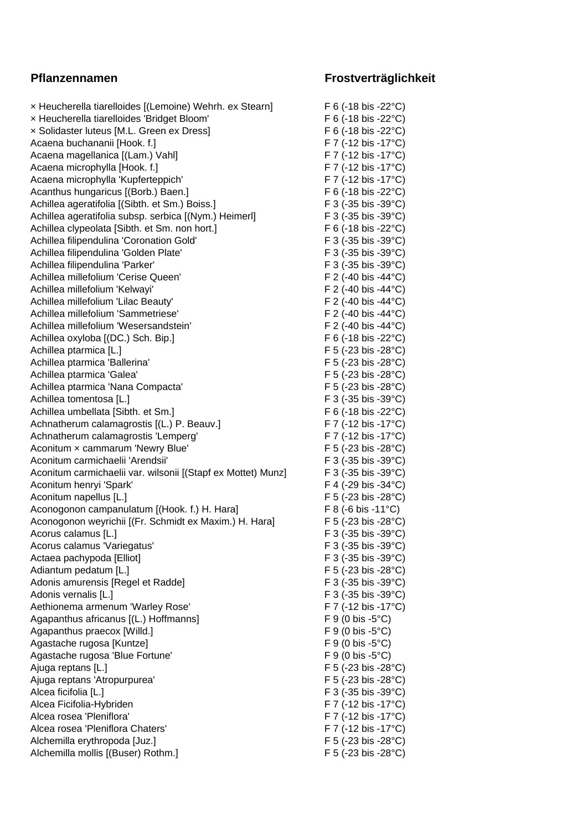## × Heucherella tiarelloides [(Lemoine) Wehrh. ex Stearn] F 6 (-18 bis -22°C) × Heucherella tiarelloides 'Bridget Bloom' F 6 (-18 bis -22°C) × Solidaster luteus [M.L. Green ex Dress] F 6 (-18 bis -22°C) Acaena buchananii [Hook. f.] F 7 (-12 bis -17°C) Acaena magellanica [(Lam.) Vahl] F 7 (-12 bis -17°C) Acaena microphylla [Hook. f.] F 7 (-12 bis -17°C) Acaena microphylla 'Kupferteppich' F 7 (-12 bis -17°C) Acanthus hungaricus [(Borb.) Baen.] F 6 (-18 bis -22°C) Achillea ageratifolia [(Sibth. et Sm.) Boiss.] F 3 (-35 bis -39°C) Achillea ageratifolia subsp. serbica [(Nym.) Heimerl] F 3 (-35 bis -39°C) Achillea clypeolata [Sibth. et Sm. non hort.] F 6 (-18 bis -22 °C) Achillea filipendulina 'Coronation Gold' F 3 (-35 bis -39°C) Achillea filipendulina 'Golden Plate' F 3 (-35 bis -39°C) Achillea filipendulina 'Parker' The Contract of the Society of the Society of Table 30°C) Achillea millefolium 'Cerise Queen' The Contract Contract Contract Contract Contract Contract Contract Contract Contract Contract Contract Contract Contract Contract Contract Contract Contract Contract Contract Contract Co Achillea millefolium 'Kelwayi' F 2 (-40 bis -44°C) Achillea millefolium 'Lilac Beauty' F 2 (-40 bis -44°C) Achillea millefolium 'Sammetriese' F 2 (-40 bis -44°C) Achillea millefolium 'Wesersandstein' F 2 (-40 bis -44°C) Achillea oxyloba [(DC.) Sch. Bip.] F 6 (-18 bis -22°C) Achillea ptarmica [L.] F 5 (-23 bis -28°C) Achillea ptarmica 'Ballerina' F 5 (-23 bis -28°C) Achillea ptarmica 'Galea' et al. (23 bis -28°C) Achillea ptarmica 'Nana Compacta' eta alternativo eta F 5 (-23 bis -28°C) Achillea tomentosa [L.] F 3 (-35 bis -39°C) Achillea umbellata [Sibth. et Sm.] F 6 (-18 bis -22°C) Achnatherum calamagrostis [(L.) P. Beauv.] F 7 (-12 bis -17°C) Achnatherum calamagrostis 'Lemperg' F 7 (-12 bis -17°C) Aconitum × cammarum 'Newry Blue' F 5 (-23 bis -28°C) Aconitum carmichaelii 'Arendsii' eta ali eta alian eta F 3 (-35 bis -39°C) Aconitum carmichaelii var. wilsonii [(Stapf ex Mottet) Munz] F 3 (-35 bis -39°C) Aconitum henryi 'Spark' F 4 (-29 bis -34°C) Aconitum napellus [L.] F 5 (-23 bis -28°C) Aconogonon campanulatum [(Hook. f.) H. Hara] F 8 (-6 bis -11°C) Aconogonon weyrichii [(Fr. Schmidt ex Maxim.) H. Hara] F 5 (-23 bis -28°C) Acorus calamus [L.] F 3 (-35 bis -39 °C) Acorus calamus 'Variegatus' external to the set of the F 3 (-35 bis -39°C) Actaea pachypoda [Elliot] F 3 (-35 bis -39°C) Adiantum pedatum [L.] F 5 (-23 bis -28°C) Adonis amurensis [Regel et Radde] F 3 (-35 bis -39°C) Adonis vernalis [L.] F 3 (-35 bis -39°C) Aethionema armenum 'Warley Rose' F 7 (-12 bis -17°C) Agapanthus africanus [(L.) Hoffmanns] F 9 (0 bis -5°C) Agapanthus praecox [Willd.] F 9 (0 bis -5°C) Agastache rugosa [Kuntze] F 9 (0 bis -5°C) Agastache rugosa 'Blue Fortune' F 9 (0 bis -5°C) Ajuga reptans [L.] F 5 (-23 bis -28°C) Ajuga reptans 'Atropurpurea' F 5 (-23 bis -28°C) Alcea ficifolia [L.] F 3 (-35 bis -39°C) Alcea Ficifolia-Hybriden F 7 (-12 bis -17°C) Alcea rosea 'Pleniflora' F 7 (-12 bis -17°C) Alcea rosea 'Pleniflora Chaters' F 7 (-12 bis -17°C)

## **Pflanzennamen Frostverträglichkeit**

Alchemilla erythropoda [Juz.] F 5 (-23 bis -28°C) Alchemilla mollis [(Buser) Rothm.] F 5 (-23 bis -28°C)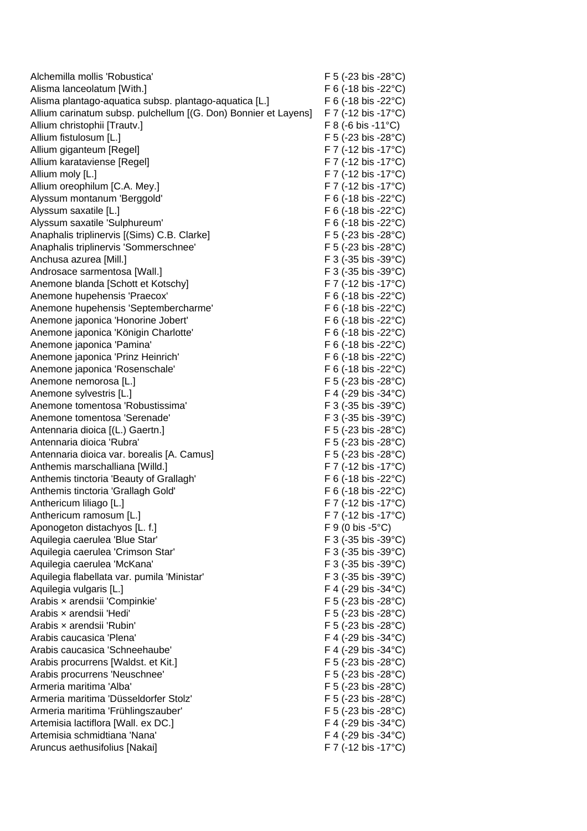| Alchemilla mollis 'Robustica'                                       | $F$ 5 (-23 bis -28 $^{\circ}$ C)   |
|---------------------------------------------------------------------|------------------------------------|
| Alisma lanceolatum [With.]                                          | $F$ 6 (-18 bis -22 $^{\circ}$ C)   |
| Alisma plantago-aquatica subsp. plantago-aquatica [L.]              | $F 6$ (-18 bis -22 $^{\circ}$ C)   |
| Allium carinatum subsp. pulchellum [(G. Don) Bonnier et Layens]     | F 7 (-12 bis -17°C)                |
| Allium christophii [Trautv.]                                        | F 8 (-6 bis -11°C)                 |
| Allium fistulosum [L.]                                              | F 5 (-23 bis -28 $^{\circ}$ C)     |
| Allium giganteum [Regel]                                            | $F 7$ (-12 bis -17 $^{\circ}$ C)   |
| Allium karataviense [Regel]                                         | $F 7$ (-12 bis -17 $^{\circ}$ C)   |
| Allium moly [L.]                                                    | $F 7$ (-12 bis -17 $^{\circ}$ C)   |
| Allium oreophilum [C.A. Mey.]                                       | $F 7$ (-12 bis -17 $^{\circ}$ C)   |
| Alyssum montanum 'Berggold'                                         | F 6 (-18 bis -22 $^{\circ}$ C)     |
| Alyssum saxatile [L.]                                               | F 6 (-18 bis -22 $^{\circ}$ C)     |
| Alyssum saxatile 'Sulphureum'                                       | F 6 (-18 bis -22 $^{\circ}$ C)     |
| Anaphalis triplinervis [(Sims) C.B. Clarke]                         | F 5 (-23 bis -28 $^{\circ}$ C)     |
| Anaphalis triplinervis 'Sommerschnee'                               | F 5 (-23 bis -28°C)                |
| Anchusa azurea [Mill.]                                              | $F$ 3 (-35 bis -39 $^{\circ}$ C)   |
| Androsace sarmentosa [Wall.]                                        | $F$ 3 (-35 bis -39 $^{\circ}$ C)   |
| Anemone blanda [Schott et Kotschy]                                  | $F$ 7 (-12 bis -17 $^{\circ}$ C)   |
| Anemone hupehensis 'Praecox'                                        | $F$ 6 (-18 bis -22 $^{\circ}$ C)   |
| Anemone hupehensis 'Septembercharme'                                | $F$ 6 (-18 bis -22 $^{\circ}$ C)   |
| Anemone japonica 'Honorine Jobert'                                  | $F$ 6 (-18 bis -22 $^{\circ}$ C)   |
| Anemone japonica 'Königin Charlotte'                                | F 6 (-18 bis -22 $^{\circ}$ C)     |
| Anemone japonica 'Pamina'                                           | F 6 (-18 bis -22 $^{\circ}$ C)     |
| Anemone japonica 'Prinz Heinrich'                                   | F 6 (-18 bis -22 $^{\circ}$ C)     |
| Anemone japonica 'Rosenschale'                                      | F 6 (-18 bis -22 $^{\circ}$ C)     |
| Anemone nemorosa [L.]                                               | F 5 (-23 bis -28 $^{\circ}$ C)     |
| Anemone sylvestris [L.]                                             | F 4 (-29 bis -34 $^{\circ}$ C)     |
| Anemone tomentosa 'Robustissima'                                    | $F$ 3 (-35 bis -39 $^{\circ}$ C)   |
| Anemone tomentosa 'Serenade'                                        | $F$ 3 (-35 bis -39 $^{\circ}$ C)   |
| Antennaria dioica [(L.) Gaertn.]                                    | F 5 (-23 bis -28 $^{\circ}$ C)     |
| Antennaria dioica 'Rubra'                                           | $F$ 5 (-23 bis -28 $^{\circ}$ C)   |
| Antennaria dioica var. borealis [A. Camus]                          | F 5 (-23 bis -28 $^{\circ}$ C)     |
| Anthemis marschalliana [Willd.]                                     | $F 7$ (-12 bis -17 $^{\circ}$ C)   |
| Anthemis tinctoria 'Beauty of Grallagh'                             | F 6 (-18 bis -22 $^{\circ}$ C)     |
| Anthemis tinctoria 'Grallagh Gold'                                  | $F 6$ (-18 bis -22 $^{\circ}$ C)   |
| Anthericum liliago [L.]                                             | $F 7$ (-12 bis -17 $^{\circ}$ C)   |
|                                                                     | F 7 (-12 bis -17°C)                |
| Anthericum ramosum [L.]<br>Aponogeton distachyos [L. f.]            | $F 9 (0 \text{ bis } -5^{\circ}C)$ |
|                                                                     | F 3 (-35 bis -39°C)                |
| Aquilegia caerulea 'Blue Star'<br>Aquilegia caerulea 'Crimson Star' |                                    |
|                                                                     | $F$ 3 (-35 bis -39 $^{\circ}$ C)   |
| Aquilegia caerulea 'McKana'                                         | $F$ 3 (-35 bis -39 $^{\circ}$ C)   |
| Aquilegia flabellata var. pumila 'Ministar'                         | F 3 (-35 bis -39°C)                |
| Aquilegia vulgaris [L.]                                             | F 4 (-29 bis -34 $^{\circ}$ C)     |
| Arabis x arendsii 'Compinkie'                                       | $F$ 5 (-23 bis -28 $^{\circ}$ C)   |
| Arabis x arendsii 'Hedi'                                            | F 5 (-23 bis -28 $^{\circ}$ C)     |
| Arabis x arendsii 'Rubin'                                           | F 5 (-23 bis -28 $^{\circ}$ C)     |
| Arabis caucasica 'Plena'                                            | F 4 (-29 bis -34 $^{\circ}$ C)     |
| Arabis caucasica 'Schneehaube'                                      | F 4 (-29 bis -34 $^{\circ}$ C)     |
| Arabis procurrens [Waldst. et Kit.]                                 | F 5 (-23 bis -28°C)                |
| Arabis procurrens 'Neuschnee'                                       | F 5 (-23 bis -28 $^{\circ}$ C)     |
| Armeria maritima 'Alba'                                             | $F$ 5 (-23 bis -28 $^{\circ}$ C)   |
| Armeria maritima 'Düsseldorfer Stolz'                               | $F$ 5 (-23 bis -28 $^{\circ}$ C)   |
| Armeria maritima 'Frühlingszauber'                                  | $F$ 5 (-23 bis -28 $^{\circ}$ C)   |
| Artemisia lactiflora [Wall. ex DC.]                                 | F 4 (-29 bis -34 $^{\circ}$ C)     |
| Artemisia schmidtiana 'Nana'                                        | F 4 (-29 bis -34 $^{\circ}$ C)     |
| Aruncus aethusifolius [Nakai]                                       | F 7 (-12 bis -17°C)                |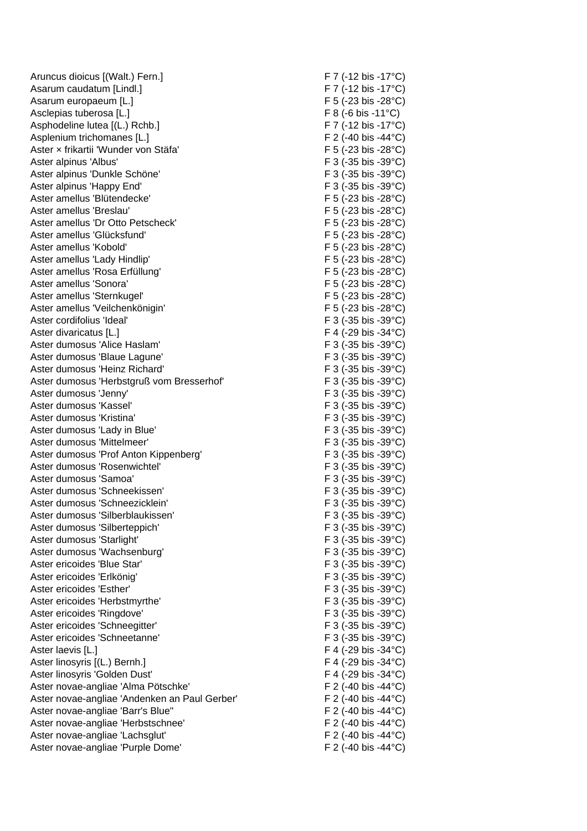Aruncus dioicus [(Walt.) Fern.] F 7 (-12 bis -17°C) Asarum caudatum [Lindl.] F 7 (-12 bis -17°C) Asarum europaeum [L.] F 5 (-23 bis -28°C) Asclepias tuberosa [L.] F 8 (-6 bis -11°C) Asphodeline lutea [(L.) Rchb.] F 7 (-12 bis -17°C) Asplenium trichomanes [L.] F 2 (-40 bis -44°C) Aster × frikartii 'Wunder von Stäfa' F 5 (-23 bis -28°C) Aster alpinus 'Albus' extendio to the set of the set of the Second F 3 (-35 bis -39°C) Aster alpinus 'Dunkle Schöne' F 3 (-35 bis -39°C) Aster alpinus 'Happy End' F 3 (-35 bis -39°C) Aster amellus 'Blütendecke' F 5 (-23 bis -28°C) Aster amellus 'Breslau' F 5 (-23 bis -28°C) Aster amellus 'Dr Otto Petscheck' F 5 (-23 bis -28°C) Aster amellus 'Glücksfund' F 5 (-23 bis -28°C) Aster amellus 'Kobold' The Contract of the Contract of the F 5 (-23 bis -28°C) Aster amellus 'Lady Hindlip' example and the set of the F 5 (-23 bis -28°C) Aster amellus 'Rosa Erfüllung' F 5 (-23 bis -28°C) Aster amellus 'Sonora' F 5 (-23 bis -28°C) Aster amellus 'Sternkugel' The Contract of the F 5 (-23 bis -28°C) Aster amellus 'Veilchenkönigin' F 5 (-23 bis -28°C) Aster cordifolius 'Ideal' **F** 3 (-35 bis -39°C) Aster divaricatus [L.] The set of the set of the set of the set of the set of the set of the set of the set of the set of the set of the set of the set of the set of the set of the set of the set of the set of the set of t Aster dumosus 'Alice Haslam' external that the F 3 (-35 bis -39°C) Aster dumosus 'Blaue Lagune' F 3 (-35 bis -39°C) Aster dumosus 'Heinz Richard' F 3 (-35 bis -39°C) Aster dumosus 'Herbstgruß vom Bresserhof' F 3 (-35 bis -39°C) Aster dumosus 'Jenny' F 3 (-35 bis -39 °C) Aster dumosus 'Kassel' F 3 (-35 bis -39°C) Aster dumosus 'Kristina' The Contract of the Contract of the F 3 (-35 bis -39°C) Aster dumosus 'Lady in Blue' F 3 (-35 bis -39°C) Aster dumosus 'Mittelmeer' example and the set of the F 3 (-35 bis -39°C) Aster dumosus 'Prof Anton Kippenberg' F 3 (-35 bis -39°C) Aster dumosus 'Rosenwichtel' external to the state of the F 3 (-35 bis -39°C) Aster dumosus 'Samoa' extends the same of the state of the F 3 (-35 bis -39°C) Aster dumosus 'Schneekissen' F 3 (-35 bis -39°C) Aster dumosus 'Schneezicklein' F 3 (-35 bis -39°C) Aster dumosus 'Silberblaukissen' F 3 (-35 bis -39°C) Aster dumosus 'Silberteppich' F 3 (-35 bis -39°C) Aster dumosus 'Starlight' The Contract of the Contract of the F 3 (-35 bis -39°C) Aster dumosus 'Wachsenburg' The Contract of the F 3 (-35 bis -39°C) Aster ericoides 'Blue Star' F 3 (-35 bis -39°C) Aster ericoides 'Erlkönig' entitled and the state of the F 3 (-35 bis -39°C) Aster ericoides 'Esther' F 3 (-35 bis -39 °C) Aster ericoides 'Herbstmyrthe' F 3 (-35 bis -39 °C) Aster ericoides 'Ringdove' The Contract of the Second Health Steve (F 3 (-35 bis -39°C) Aster ericoides 'Schneegitter' The Contract of the F 3 (-35 bis -39°C) Aster ericoides 'Schneetanne' F 3 (-35 bis -39°C) Aster laevis [L.] F 4 (-29 bis -34°C) Aster linosyris [(L.) Bernh.] F 4 (-29 bis -34°C) Aster linosyris 'Golden Dust' F 4 (-29 bis -34°C) Aster novae-angliae 'Alma Pötschke' F 2 (-40 bis -44°C) Aster novae-angliae 'Andenken an Paul Gerber' F 2 (-40 bis -44 °C) Aster novae-angliae 'Barr's Blue" F 2 (-40 bis -44 °C) Aster novae-angliae 'Herbstschnee' entitled and the state of the F 2 (-40 bis -44°C) Aster novae-angliae 'Lachsglut' F 2 (-40 bis -44°C) Aster novae-angliae 'Purple Dome' F 2 (-40 bis -44 °C)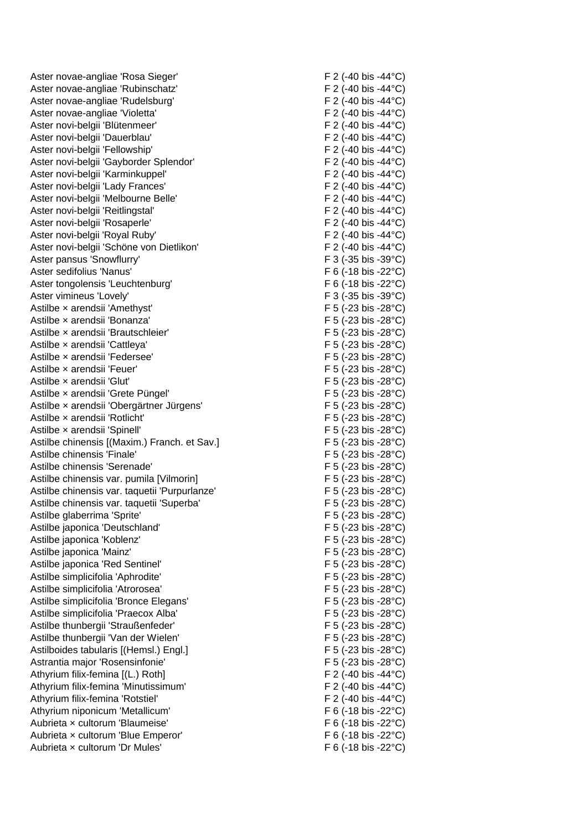Aster novae-angliae 'Rosa Sieger' F 2 (-40 bis -44 °C) Aster novae-angliae 'Rubinschatz' F 2 (-40 bis -44°C) Aster novae-angliae 'Rudelsburg' F 2 (-40 bis -44°C) Aster novae-angliae 'Violetta'  $F 2$  (-40 bis -44 °C) Aster novi-belgii 'Blütenmeer' error is a series of the F 2 (-40 bis -44°C) Aster novi-belgii 'Dauerblau' F 2 (-40 bis -44°C) Aster novi-belgii 'Fellowship'  $F 2$  (-40 bis -44 °C) Aster novi-belgii 'Gayborder Splendor' F 2 (-40 bis -44°C) Aster novi-belgii 'Karminkuppel' F 2 (-40 bis -44°C) Aster novi-belgii 'Lady Frances' F 2 (-40 bis -44 °C) Aster novi-belgii 'Melbourne Belle' F 2 (-40 bis -44°C) Aster novi-belgii 'Reitlingstal' entry the state of the F 2 (-40 bis -44°C) Aster novi-belgii 'Rosaperle' F 2 (-40 bis -44°C) Aster novi-belgii 'Royal Ruby' F 2 (-40 bis -44 °C) Aster novi-belgii 'Schöne von Dietlikon' F 2 (-40 bis -44°C) Aster pansus 'Snowflurry' The Contract of the Society of the F 3 (-35 bis -39 °C) Aster sedifolius 'Nanus' external and the settlement of the F 6 (-18 bis -22°C) Aster tongolensis 'Leuchtenburg' F 6 (-18 bis -22°C) Aster vimineus 'Lovely' example and the set of the set of the F 3 (-35 bis -39°C) Astilbe x arendsii 'Amethyst' F 5 (-23 bis -28°C) Astilbe x arendsii 'Bonanza' F 5 (-23 bis -28°C) Astilbe × arendsii 'Brautschleier' F 5 (-23 bis -28°C) Astilbe x arendsii 'Cattleya' F 5 (-23 bis -28°C) Astilbe x arendsii 'Federsee' F 5 (-23 bis -28°C) Astilbe x arendsii 'Feuer' The Contract of the Second State of the Second State of the Second State of Tenering Second State of Tenering Second State of Tenering Second State of Tenering Second State of Tenering Second Sta Astilbe x arendsii 'Glut' and the state of the state of the F 5 (-23 bis -28°C) Astilbe x arendsii 'Grete Püngel' F 5 (-23 bis -28°C) Astilbe × arendsii 'Obergärtner Jürgens' F 5 (-23 bis -28°C) Astilbe × arendsii 'Rotlicht' F 5 (-23 bis -28°C) Astilbe x arendsii 'Spinell' and the set of the set of the Second F 5 (-23 bis -28°C) Astilbe chinensis [(Maxim.) Franch. et Sav.] F 5 (-23 bis -28°C) Astilbe chinensis 'Finale' F 5 (-23 bis -28°C) Astilbe chinensis 'Serenade' F 5 (-23 bis -28°C) Astilbe chinensis var. pumila [Vilmorin] F 5 (-23 bis -28°C) Astilbe chinensis var. taquetii 'Purpurlanze' F 5 (-23 bis -28°C) Astilbe chinensis var. taquetii 'Superba' F 5 (-23 bis -28°C) Astilbe glaberrima 'Sprite'  $\overline{F}$  5 (-23 bis -28°C) Astilbe japonica 'Deutschland' F 5 (-23 bis -28°C) Astilbe japonica 'Koblenz' F 5 (-23 bis -28°C) Astilbe japonica 'Mainz'  $F 5 (-23 \text{ bis } -28^{\circ} \text{C})$ Astilbe japonica 'Red Sentinel' F 5 (-23 bis -28°C) Astilbe simplicifolia 'Aphrodite'  $F 5 (-23 \text{ bis } -28^{\circ} \text{C})$ Astilbe simplicifolia 'Atrorosea' F 5 (-23 bis -28°C) Astilbe simplicifolia 'Bronce Elegans' F 5 (-23 bis -28°C) Astilbe simplicifolia 'Praecox Alba' F 5 (-23 bis -28°C) Astilbe thunbergii 'Straußenfeder' F 5 (-23 bis -28°C) Astilbe thunbergii 'Van der Astilboides tabularis [(Hemsl.) Engl.] F 5 (-23 bis -28°C) Astrantia major 'Rosensinfonie' F 5 (-23 bis -28°C) Athyrium filix-femina [(L.) Roth] F 2 (-40 bis -44°C) Athyrium filix-femina 'Minutissimum' F 2 (-40 bis -44°C) Athyrium filix-femina 'Rotstiel'  $F_2$  (-40 bis -44°C) Athyrium niponicum 'Metallicum' F 6 (-18 bis -22°C) Aubrieta × cultorum 'Blaumeise' F 6 (-18 bis -22 °C) Aubrieta x cultorum 'Blue Emperor' F 6 (-18 bis -22 °C) Aubrieta x cultorum 'Dr Mules' F 6 (-18 bis -22°C)

 $F$  5 (-23 bis -28 $^{\circ}$ C)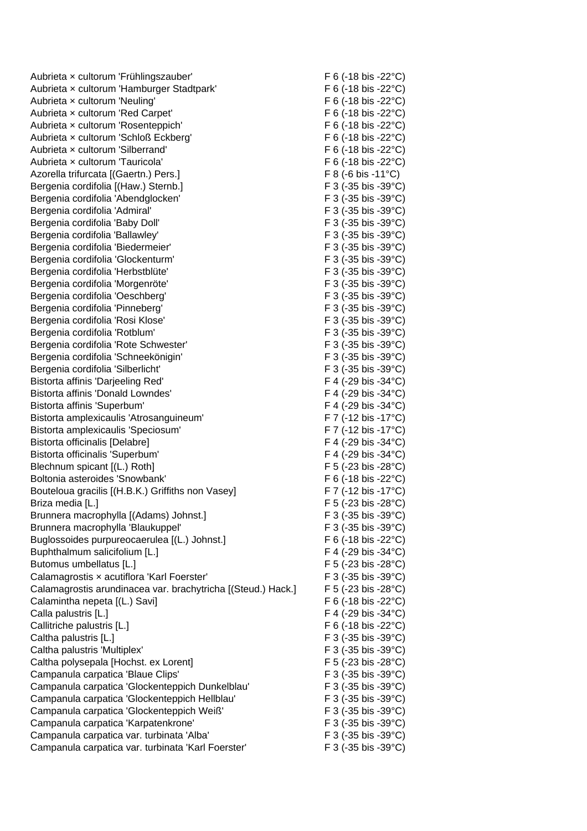Aubrieta x cultorum 'Frühlingszauber' F 6 (-18 bis -22°C) Aubrieta × cultorum 'Hamburger Stadtpark' F 6 (-18 bis -22 °C) Aubrieta x cultorum 'Neuling' F 6 (-18 bis -22°C) Aubrieta x cultorum 'Red Carpet' F 6 (-18 bis -22 °C) Aubrieta × cultorum 'Rosenteppich' F 6 (-18 bis -22°C) Aubrieta x cultorum 'Schloß Eckberg' F 6 (-18 bis -22 °C) Aubrieta x cultorum 'Silberrand' The Contract Contract Contract Contract Contract Contract Contract Contract Contract Contract Contract Contract Contract Contract Contract Contract Contract Contract Contract Contract Contr Aubrieta x cultorum 'Tauricola'  $F 6 (-18 \text{ bis } -22^{\circ} \text{C})$ Azorella trifurcata [(Gaertn.) Pers.] F 8 (-6 bis -11°C) Bergenia cordifolia [(Haw.) Sternb.] F 3 (-35 bis -39°C) Bergenia cordifolia 'Abendglocken' F 3 (-35 bis -39°C) Bergenia cordifolia 'Admiral' F 3 (-35 bis -39°C) Bergenia cordifolia 'Baby Doll' F 3 (-35 bis -39°C) Bergenia cordifolia 'Ballawley' extending the state of the F 3 (-35 bis -39°C) Bergenia cordifolia 'Biedermeier' F 3 (-35 bis -39°C) Bergenia cordifolia 'Glockenturm' F 3 (-35 bis -39°C) Bergenia cordifolia 'Herbstblüte' etc. F 3 (-35 bis -39°C) Bergenia cordifolia 'Morgenröte' F 3 (-35 bis -39°C) Bergenia cordifolia 'Oeschberg' F 3 (-35 bis -39°C) Bergenia cordifolia 'Pinneberg' F 3 (-35 bis -39°C) Bergenia cordifolia 'Rosi Klose' F 3 (-35 bis -39°C) Bergenia cordifolia 'Rotblum' et al. (a) F 3 (-35 bis -39°C) Bergenia cordifolia 'Rote Schwester' F 3 (-35 bis -39°C) Bergenia cordifolia 'Schneekönigin' F 3 (-35 bis -39°C) Bergenia cordifolia 'Silberlicht' F 3 (-35 bis -39°C) Bistorta affinis 'Darjeeling Red' F 4 (-29 bis -34°C) Bistorta affinis 'Donald Lowndes' F 4 (-29 bis -34°C) Bistorta affinis 'Superbum' The Contract of the Contract of the F 4 (-29 bis -34°C) Bistorta amplexicaulis 'Atrosanguineum' F 7 (-12 bis -17°C) Bistorta amplexicaulis 'Speciosum' F 7 (-12 bis -17°C) Bistorta officinalis [Delabre] F 4 (-29 bis -34°C) Bistorta officinalis 'Superbum' F 4 (-29 bis -34°C) Blechnum spicant [(L.) Roth] F 5 (-23 bis -28°C) Boltonia asteroides 'Snowbank' extended the state of the F 6 (-18 bis -22°C) Bouteloua gracilis  $[(H.B.K.)$  Griffiths non Vasey] F 7  $(-12 \text{ bis } -17^{\circ}\text{C})$ Briza media [L.] F 5 (-23 bis -28°C) Brunnera macrophylla [(Adams) Johnst.] F 3 (-35 bis -39 °C) Brunnera macrophylla 'Blaukuppel' F 3 (-35 bis -39°C) Buglossoides purpureocaerulea [(L.) Johnst.] F 6 (-18 bis -22 °C) Buphthalmum salicifolium [L.] **EXECUTE:** F 4 (-29 bis -34°C) Butomus umbellatus [L.] F 5 (-23 bis -28°C) Calamagrostis x acutiflora 'Karl Foerster' F 3 (-35 bis -39°C) Calamagrostis arundinacea var. brachytricha [(Steud.) Hack.] F 5 (-23 bis -28°C) Calamintha nepeta [(L.) Savi] F 6 (-18 bis -22°C) Calla palustris  $[L]$  F 4 (-29 bis -34°C) Callitriche palustris [L.] F 6 (-18 bis -22 °C) Caltha palustris [L.] F 3 (-35 bis -39°C) Caltha palustris 'Multiplex' F 3 (-35 bis -39 °C) Caltha polysepala [Hochst. ex Lorent] F 5 (-23 bis -28°C) Campanula carpatica 'Blaue Clips' F 3 (-35 bis -39°C) Campanula carpatica 'Glockenteppich Dunkelblau' F 3 (-35 bis -39°C) Campanula carpatica 'Glockenteppich Hellblau' F 3 (-35 bis -39°C) Campanula carpatica 'Glockenteppich Weiß' F 3 (-35 bis -39°C) Campanula carpatica 'Karpatenkrone' F 3 (-35 bis -39°C) Campanula carpatica var. turbinata 'Alba' F 3 (-35 bis -39°C) Campanula carpatica var. turbinata 'Karl Foerster' F 3 (-35 bis -39°C)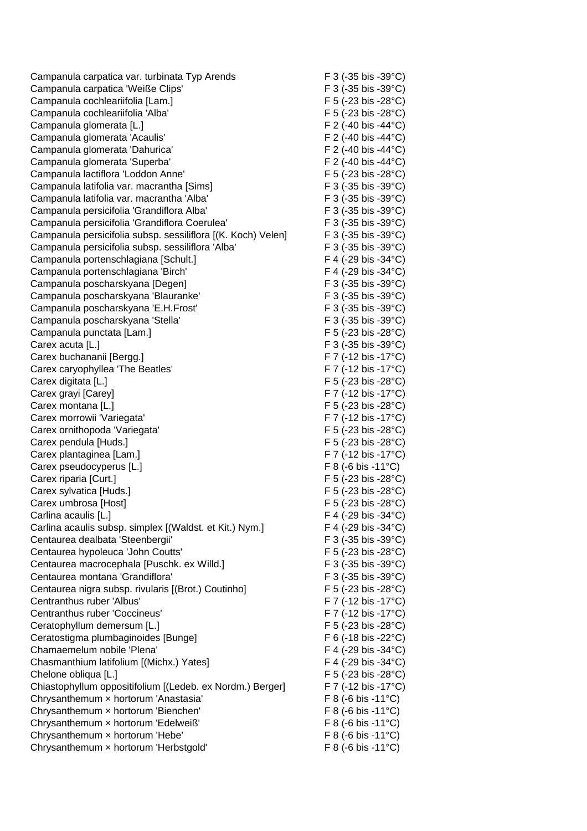Campanula carpatica var. turbinata Typ Arends F 3 (-35 bis -39°C) Campanula carpatica 'Weiße Clips' F 3 (-35 bis -39°C) Campanula cochleariifolia [Lam.] F 5 (-23 bis -28°C) Campanula cochleariifolia 'Alba' F 5 (-23 bis -28°C) Campanula glomerata [L.] F 2 (-40 bis -44°C) Campanula glomerata 'Acaulis' F 2 (-40 bis -44°C) Campanula glomerata 'Dahurica'  $\overline{F}$  2 (-40 bis -44°C) Campanula glomerata 'Superba' F 2 (-40 bis -44 °C) Campanula lactiflora 'Loddon Anne' F 5 (-23 bis -28°C) Campanula latifolia var. macrantha [Sims] F 3 (-35 bis -39°C) Campanula latifolia var. macrantha 'Alba' F 3 (-35 bis -39°C) Campanula persicifolia 'Grandiflora Alba' F 3 (-35 bis -39°C) Campanula persicifolia 'Grandiflora Coerulea' F 3 (-35 bis -39°C) Campanula persicifolia subsp. sessiliflora [(K. Koch) Velen] F 3 (-35 bis -39°C) Campanula persicifolia subsp. sessiliflora 'Alba' F 3 (-35 bis -39°C) Campanula portenschlagiana [Schult.] F 4 (-29 bis -34°C) Campanula portenschlagiana 'Birch' F 4 (-29 bis -34°C) Campanula poscharskyana [Degen] F 3 (-35 bis -39°C) Campanula poscharskyana 'Blauranke' F 3 (-35 bis -39°C) Campanula poscharskyana 'E.H.Frost' F 3 (-35 bis -39°C) Campanula poscharskyana 'Stella' F 3 (-35 bis -39°C) Campanula punctata [Lam.] F 5 (-23 bis -28°C) Carex acuta [L.] F 3 (-35 bis -39°C) Carex buchananii [Bergg.] F 7 (-12 bis -17°C) Carex caryophyllea 'The Beatles' F 7 (-12 bis -17°C) Carex digitata [L.] F 5 (-23 bis -28°C) Carex grayi [Carey] Garex grayi [Carey] F 7 (-12 bis -17°C) Carex montana [L.] F 5 (-23 bis -28°C) Carex morrowii 'Variegata' et al. (12 bis -17°C) Carex ornithopoda 'Variegata' F 5 (-23 bis -28°C) Carex pendula [Huds.] F 5 (-23 bis -28°C) Carex plantaginea [Lam.] F 7 (-12 bis -17°C) Carex pseudocyperus [L.] F 8 (-6 bis -11°C) Carex riparia [Curt.] F 5 (-23 bis -28°C) Carex sylvatica [Huds.] F 5 (-23 bis -28°C) Carex umbrosa [Host] F 5 (-23 bis -28°C) Carlina acaulis [L.] Carlina acaulis [L.] Carlina acaulis subsp. simplex [(Waldst. et Kit.) Nym.] F 4 (-29 bis -34°C) Centaurea dealbata 'Steenbergii' F 3 (-35 bis -39°C) Centaurea hypoleuca 'John Coutts' F 5 (-23 bis -28°C) Centaurea macrocephala [Puschk. ex Willd.] F 3 (-35 bis -39°C) Centaurea montana 'Grandiflora' F 3 (-35 bis -39°C) Centaurea nigra subsp. rivularis [(Brot.) Coutinho] F 5 (-23 bis -28°C) Centranthus ruber 'Albus' F 7 (-12 bis -17°C) Centranthus ruber 'Coccineus' F 7 (-12 bis -17°C) Ceratophyllum demersum [L.] F 5 (-23 bis -28°C) Ceratostigma plumbaginoides [Bunge] F 6 (-18 bis -22°C) Chamaemelum nobile 'Plena' F 4 (-29 bis -34°C) Chasmanthium latifolium [(Michx.) Yates] F 4 (-29 bis -34°C) Chelone obliqua [L.] F 5 (-23 bis -28°C) Chiastophyllum oppositifolium [(Ledeb. ex Nordm.) Berger] F 7 (-12 bis -17°C) Chrysanthemum × hortorum 'Anastasia' F 8 (-6 bis -11°C) Chrysanthemum × hortorum 'Bienchen' F 8 (-6 bis -11°C) Chrysanthemum × hortorum 'Edelweiß' F 8 (-6 bis -11°C) Chrysanthemum × hortorum 'Hebe' F 8 (-6 bis -11°C) Chrysanthemum × hortorum 'Herbstgold' F 8 (-6 bis -11°C)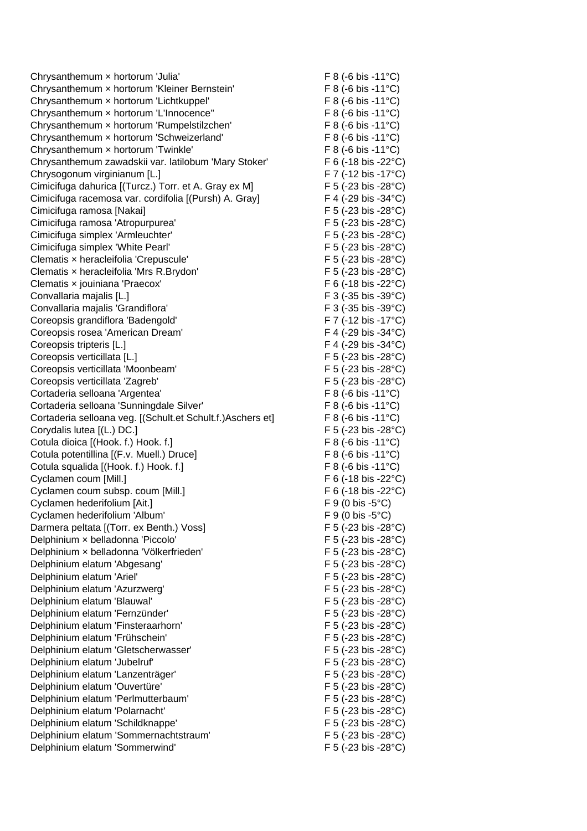Chrysanthemum x hortorum 'Julia' F 8 (-6 bis -11°C) Chrysanthemum × hortorum 'Kleiner Bernstein' F 8 (-6 bis -11°C) Chrysanthemum × hortorum 'Lichtkuppel' F 8 (-6 bis -11°C) Chrysanthemum × hortorum 'L'Innocence'' F 8 (-6 bis -11°C) Chrysanthemum × hortorum 'Rumpelstilzchen' F 8 (-6 bis -11°C) Chrysanthemum × hortorum 'Schweizerland' F 8 (-6 bis -11°C) Chrysanthemum × hortorum 'Twinkle' F 8 (-6 bis -11°C) Chrysanthemum zawadskii var. latilobum 'Mary Stoker' F 6 (-18 bis -22°C) Chrysogonum virginianum [L.] F 7 (-12 bis -17°C) Cimicifuga dahurica [(Turcz.) Torr. et A. Gray ex M] F 5 (-23 bis -28°C) Cimicifuga racemosa var. cordifolia [(Pursh) A. Gray] F 4 (-29 bis -34°C) Cimicifuga ramosa [Nakai] F 5 (-23 bis -28°C) Cimicifuga ramosa 'Atropurpurea' F 5 (-23 bis -28°C) Cimicifuga simplex 'Armleuchter' F 5 (-23 bis -28°C) Cimicifuga simplex 'White Pearl' F 5 (-23 bis -28°C) Clematis × heracleifolia 'Crepuscule' F 5 (-23 bis -28°C) Clematis × heracleifolia 'Mrs R.Brydon' F 5 (-23 bis -28°C) Clematis x jouiniana 'Praecox' F 6 (-18 bis -22 °C) Convallaria majalis [L.] F 3 (-35 bis -39°C) Convallaria majalis 'Grandiflora' F 3 (-35 bis -39°C) Coreopsis grandiflora 'Badengold' F 7 (-12 bis -17°C) Coreopsis rosea 'American Dream' F 4 (-29 bis -34°C) Coreopsis tripteris [L.] F 4 (-29 bis -34°C) Coreopsis verticillata [L.] F 5 (-23 bis -28°C) Coreopsis verticillata 'Moonbeam' F 5 (-23 bis -28°C) Coreopsis verticillata 'Zagreb' F 5 (-23 bis -28°C) Cortaderia selloana 'Argentea' F 8 (-6 bis -11°C) Cortaderia selloana 'Sunningdale Silver' F 8 (-6 bis -11°C) Cortaderia selloana veg. [(Schult.et Schult.f.)Aschers et] F 8 (-6 bis -11°C) Corydalis lutea [(L.) DC.] F 5 (-23 bis -28°C) Cotula dioica [(Hook. f.) Hook. f.] F 8 (-6 bis -11°C) Cotula potentillina [(F.v. Muell.) Druce] F 8 (-6 bis -11°C) Cotula squalida [(Hook. f.) Hook. f.] F 8 (-6 bis -11°C) Cyclamen coum [Mill.] F 6 (-18 bis -22°C) Cyclamen coum subsp. coum [Mill.] F 6 (-18 bis -22°C) Cyclamen hederifolium [Ait.] F 9 (0 bis -5°C) Cyclamen hederifolium 'Album' F 9 (0 bis -5°C) Darmera peltata [(Torr. ex Benth.) Voss] F 5 (-23 bis -28°C) Delphinium × belladonna 'Piccolo' F 5 (-23 bis -28°C) Delphinium × belladonna 'Völkerfrieden' F 5 (-23 bis -28°C) Delphinium elatum 'Abgesang' F 5 (-23 bis -28°C) Delphinium elatum 'Ariel' F 5 (-23 bis -28°C) Delphinium elatum 'Azurzwerg' F 5 (-23 bis -28°C) Delphinium elatum 'Blauwal' F 5 (-23 bis -28°C) Delphinium elatum 'Fernzünder' F 5 (-23 bis -28°C) Delphinium elatum 'Finsteraarhorn' F 5 (-23 bis -28°C) Delphinium elatum 'Frühschein' F 5 (-23 bis -28°C) Delphinium elatum 'Gletscherwasser' F 5 (-23 bis -28°C) Delphinium elatum 'Jubelruf' F 5 (-23 bis -28°C) Delphinium elatum 'Lanzenträger' F 5 (-23 bis -28°C) Delphinium elatum 'Ouvertüre' F 5 (-23 bis -28°C) Delphinium elatum 'Perlmutterbaum' F 5 (-23 bis -28°C) Delphinium elatum 'Polarnacht' F 5 (-23 bis -28°C) Delphinium elatum 'Schildknappe' F 5 (-23 bis -28°C) Delphinium elatum 'Sommernachtstraum' F 5 (-23 bis -28°C) Delphinium elatum 'Sommerwind' F 5 (-23 bis -28°C)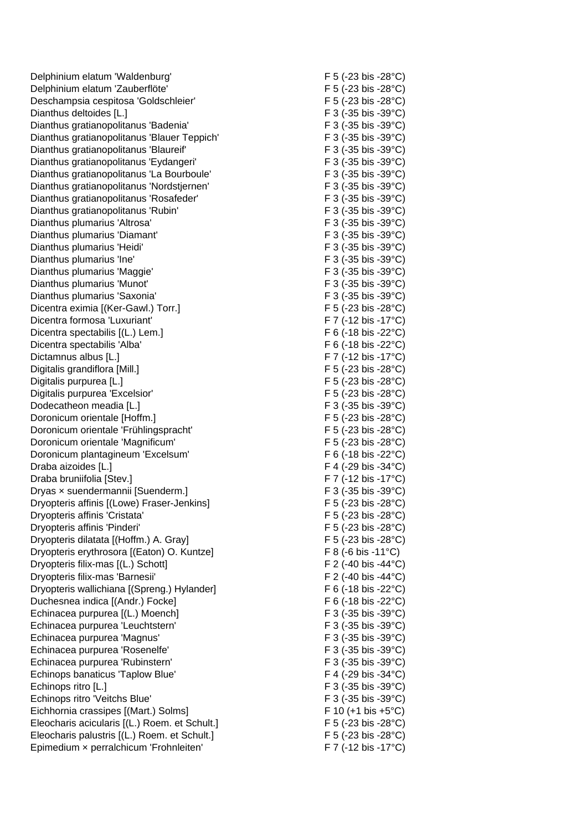Delphinium elatum 'Waldenburg' F 5 (-23 bis -28°C) Delphinium elatum 'Zauberflöte' F 5 (-23 bis -28°C) Deschampsia cespitosa 'Goldschleier' F 5 (-23 bis -28°C) Dianthus deltoides [L.] F 3 (-35 bis -39°C) Dianthus gratianopolitanus 'Badenia' F 3 (-35 bis -39°C) Dianthus gratianopolitanus 'Blauer Teppich' F 3 (-35 bis -39°C) Dianthus gratianopolitanus 'Blaureif' entitled and the E 3 (-35 bis -39 °C) Dianthus gratianopolitanus 'Eydangeri' F 3 (-35 bis -39°C) Dianthus gratianopolitanus 'La Bourboule' F 3 (-35 bis -39°C) Dianthus gratianopolitanus 'Nordstjernen' F 3 (-35 bis -39°C) Dianthus gratianopolitanus 'Rosafeder' F 3 (-35 bis -39°C) Dianthus gratianopolitanus 'Rubin' F 3 (-35 bis -39°C) Dianthus plumarius 'Altrosa' F 3 (-35 bis -39°C) Dianthus plumarius 'Diamant' F 3 (-35 bis -39°C) Dianthus plumarius 'Heidi' F 3 (-35 bis -39°C) Dianthus plumarius 'Ine' F 3 (-35 bis -39°C) Dianthus plumarius 'Maggie' F 3 (-35 bis -39°C) Dianthus plumarius 'Munot' extending the state of F 3 (-35 bis -39°C) Dianthus plumarius 'Saxonia' F 3 (-35 bis -39°C) Dicentra eximia [(Ker-Gawl.) Torr.] The contraction of F 5 (-23 bis -28°C) Dicentra formosa 'Luxuriant' F 7 (-12 bis -17°C) Dicentra spectabilis [(L.) Lem.] F 6 (-18 bis -22°C) Dicentra spectabilis 'Alba'  $\overline{F}$  6 (-18 bis -22°C) Dictamnus albus [L.] F 7 (-12 bis -17°C) Digitalis grandiflora [Mill.] F 5 (-23 bis -28°C) Digitalis purpurea [L.] F 5 (-23 bis -28°C) Digitalis purpurea 'Excelsior' F 5 (-23 bis -28°C) Dodecatheon meadia [L.] F 3 (-35 bis -39°C) Doronicum orientale [Hoffm.] F 5 (-23 bis -28°C) Doronicum orientale 'Frühlingspracht' F 5 (-23 bis -28°C) Doronicum orientale 'Magnificum' F 5 (-23 bis -28°C) Doronicum plantagineum 'Excelsum' F 6 (-18 bis -22°C) Draba aizoides [L.] F 4 (-29 bis -34°C) Draba bruniifolia [Stev.] F 7 (-12 bis -17°C) Dryas x suendermannii [Suenderm.] F 3 (-35 bis -39°C) Dryopteris affinis [(Lowe) Fraser-Jenkins] F 5 (-23 bis -28°C) Dryopteris affinis 'Cristata' F 5 (-23 bis -28°C) Dryopteris affinis 'Pinderi' F 5 (-23 bis -28°C) Dryopteris dilatata [(Hoffm.) A. Gray] F 5 (-23 bis -28°C) Dryopteris erythrosora [(Eaton) O. Kuntze] F 8 (-6 bis -11°C) Dryopteris filix-mas [(L.) Schott] F 2 (-40 bis -44°C) Dryopteris filix-mas 'Barnesii' F 2 (-40 bis -44°C) Dryopteris wallichiana [(Spreng.) Hylander] F 6 (-18 bis -22°C) Duchesnea indica [(Andr.) Focke] F 6 (-18 bis -22°C) Echinacea purpurea [(L.) Moench] F 3 (-35 bis -39°C) Echinacea purpurea 'Leuchtstern' F 3 (-35 bis -39°C) Echinacea purpurea 'Magnus' F 3 (-35 bis -39°C) Echinacea purpurea 'Rosenelfe' F 3 (-35 bis -39°C) Echinacea purpurea 'Rubinstern' F 3 (-35 bis -39°C) Echinops banaticus 'Taplow Blue' F 4 (-29 bis -34°C) Echinops ritro [L.] F 3 (-35 bis -39°C) Echinops ritro 'Veitchs Blue' F 3 (-35 bis -39°C) Eichhornia crassipes [(Mart.) Solms] F 10 (+1 bis +5°C) Eleocharis acicularis [(L.) Roem. et Schult.] F 5 (-23 bis -28°C) Eleocharis palustris [(L.) Roem. et Schult.] F 5 (-23 bis -28°C) Epimedium × perralchicum 'Frohnleiten' F 7 (-12 bis -17°C)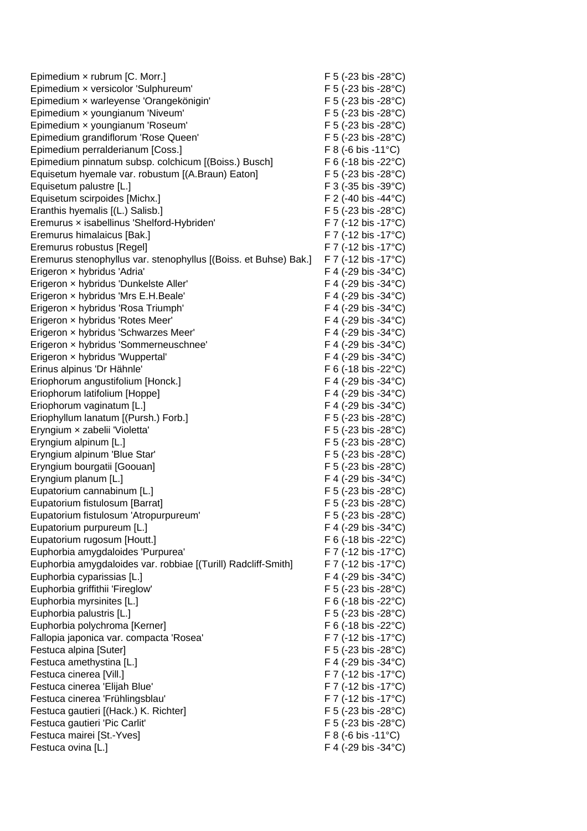| Epimedium x rubrum [C. Morr.]                                    | F 5 (-23 bis -28 $^{\circ}$ C)              |
|------------------------------------------------------------------|---------------------------------------------|
| Epimedium x versicolor 'Sulphureum'                              | F 5 (-23 bis -28°C)                         |
| Epimedium x warleyense 'Orangekönigin'                           | F 5 (-23 bis -28°C)                         |
| Epimedium x youngianum 'Niveum'                                  | F 5 (-23 bis -28°C)                         |
| Epimedium x youngianum 'Roseum'                                  | F 5 (-23 bis -28°C)                         |
| Epimedium grandiflorum 'Rose Queen'                              | F 5 (-23 bis -28°C)                         |
| Epimedium perralderianum [Coss.]                                 | $F 8 (-6 \text{ bis} -11^{\circ} \text{C})$ |
| Epimedium pinnatum subsp. colchicum [(Boiss.) Busch]             | F 6 (-18 bis -22 $^{\circ}$ C)              |
| Equisetum hyemale var. robustum [(A.Braun) Eaton]                | F 5 (-23 bis -28°C)                         |
| Equisetum palustre [L.]                                          | $F$ 3 (-35 bis -39 $^{\circ}$ C)            |
| Equisetum scirpoides [Michx.]                                    | F 2 (-40 bis -44°C)                         |
| Eranthis hyemalis [(L.) Salisb.]                                 | F 5 (-23 bis -28 $^{\circ}$ C)              |
| Eremurus x isabellinus 'Shelford-Hybriden'                       | F 7 (-12 bis -17°C)                         |
| Eremurus himalaicus [Bak.]                                       | F 7 (-12 bis -17°C)                         |
| Eremurus robustus [Regel]                                        | F 7 (-12 bis -17°C)                         |
| Eremurus stenophyllus var. stenophyllus [(Boiss. et Buhse) Bak.] | F 7 (-12 bis -17°C)                         |
| Erigeron x hybridus 'Adria'                                      | F 4 (-29 bis -34 $^{\circ}$ C)              |
| Erigeron x hybridus 'Dunkelste Aller'                            | F 4 (-29 bis -34°C)                         |
| Erigeron x hybridus 'Mrs E.H.Beale'                              | F 4 (-29 bis -34 $^{\circ}$ C)              |
| Erigeron x hybridus 'Rosa Triumph'                               | F 4 (-29 bis -34 $^{\circ}$ C)              |
| Erigeron x hybridus 'Rotes Meer'                                 | F 4 (-29 bis -34°C)                         |
| Erigeron x hybridus 'Schwarzes Meer'                             | F 4 (-29 bis -34 $^{\circ}$ C)              |
| Erigeron x hybridus 'Sommerneuschnee'                            | F 4 (-29 bis -34 $^{\circ}$ C)              |
| Erigeron x hybridus 'Wuppertal'                                  | F 4 (-29 bis -34 $^{\circ}$ C)              |
| Erinus alpinus 'Dr Hähnle'                                       | F 6 (-18 bis -22 $^{\circ}$ C)              |
| Eriophorum angustifolium [Honck.]                                | F 4 (-29 bis -34 $^{\circ}$ C)              |
| Eriophorum latifolium [Hoppe]                                    | F 4 (-29 bis -34 $^{\circ}$ C)              |
| Eriophorum vaginatum [L.]                                        | F 4 (-29 bis -34 $^{\circ}$ C)              |
| Eriophyllum lanatum [(Pursh.) Forb.]                             | F 5 (-23 bis -28 $^{\circ}$ C)              |
| Eryngium x zabelii 'Violetta'                                    | F 5 (-23 bis -28°C)                         |
| Eryngium alpinum [L.]                                            | F 5 (-23 bis -28°C)                         |
| Eryngium alpinum 'Blue Star'                                     | F 5 (-23 bis -28 $^{\circ}$ C)              |
| Eryngium bourgatii [Goouan]                                      | F 5 (-23 bis -28 $^{\circ}$ C)              |
| Eryngium planum [L.]                                             | F 4 (-29 bis -34°C)                         |
| Eupatorium cannabinum [L.]                                       | F 5 (-23 bis -28 $^{\circ}$ C)              |
| Eupatorium fistulosum [Barrat]                                   | F 5 (-23 bis -28°C)                         |
| Eupatorium fistulosum 'Atropurpureum'                            | F 5 (-23 bis -28°C)                         |
| Eupatorium purpureum [L.]                                        | F 4 (-29 bis -34°C)                         |
| Eupatorium rugosum [Houtt.]                                      | F 6 (-18 bis -22°C)                         |
| Euphorbia amygdaloides 'Purpurea'                                | $F$ 7 (-12 bis -17 $^{\circ}$ C)            |
| Euphorbia amygdaloides var. robbiae [(Turill) Radcliff-Smith]    | $F$ 7 (-12 bis -17 $^{\circ}$ C)            |
| Euphorbia cyparissias [L.]                                       | F 4 (-29 bis -34 $^{\circ}$ C)              |
| Euphorbia griffithii 'Fireglow'                                  | F 5 (-23 bis -28°C)                         |
| Euphorbia myrsinites [L.]                                        | F 6 (-18 bis -22 $^{\circ}$ C)              |
| Euphorbia palustris [L.]                                         | F 5 (-23 bis -28 $^{\circ}$ C)              |
| Euphorbia polychroma [Kerner]                                    | F 6 (-18 bis -22°C)                         |
| Fallopia japonica var. compacta 'Rosea'                          | $F$ 7 (-12 bis -17 $^{\circ}$ C)            |
| Festuca alpina [Suter]                                           | F 5 (-23 bis -28°C)                         |
| Festuca amethystina [L.]                                         | F 4 (-29 bis -34°C)                         |
| Festuca cinerea [Vill.]                                          | $F$ 7 (-12 bis -17 $^{\circ}$ C)            |
| Festuca cinerea 'Elijah Blue'                                    | F 7 (-12 bis -17°C)                         |
| Festuca cinerea 'Frühlingsblau'                                  | $F$ 7 (-12 bis -17 $^{\circ}$ C)            |
| Festuca gautieri [(Hack.) K. Richter]                            | F 5 (-23 bis -28°C)                         |
| Festuca gautieri 'Pic Carlit'                                    | F 5 (-23 bis -28°C)                         |
| Festuca mairei [St.-Yves]                                        | $F 8 (-6 \text{ bis} -11^{\circ} \text{C})$ |
| Festuca ovina [L.]                                               | F 4 (-29 bis -34°C)                         |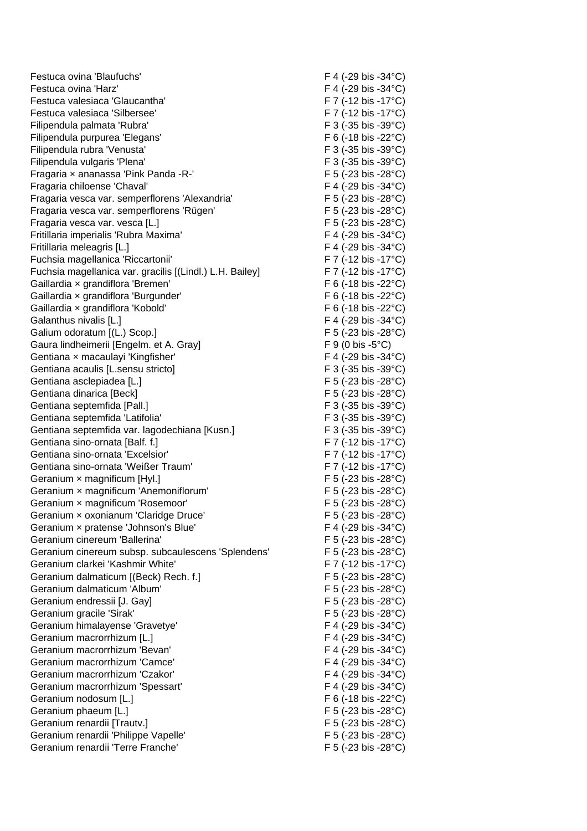Festuca ovina 'Blaufuchs' F 4 (-29 bis -34°C) Festuca ovina 'Harz' Fall the Control of the Control of the Festuca ovina 'Harz' F 4 (-29 bis -34°C) Festuca valesiaca 'Glaucantha' F 7 (-12 bis -17°C) Festuca valesiaca 'Silbersee' F 7 (-12 bis -17°C) Filipendula palmata 'Rubra' F 3 (-35 bis -39°C) Filipendula purpurea 'Elegans' F 6 (-18 bis -22°C) Filipendula rubra 'Venusta' F 3 (-35 bis -39°C) Filipendula vulgaris 'Plena' F 3 (-35 bis -39°C) Fragaria x ananassa 'Pink Panda -R-' F 5 (-23 bis -28°C) Fragaria chiloense 'Chaval' F 4 (-29 bis -34°C) Fragaria vesca var. semperflorens 'Alexandria' F 5 (-23 bis -28°C) Fragaria vesca var. semperflorens 'Rügen' F 5 (-23 bis -28°C) Fragaria vesca var. vesca [L.] F 5 (-23 bis -28°C) Fritillaria imperialis 'Rubra Maxima' F 4 (-29 bis -34°C) Fritillaria meleagris [L.] F 4 (-29 bis -34°C) Fuchsia magellanica 'Riccartonii' F 7 (-12 bis -17°C) Fuchsia magellanica var. gracilis [(Lindl.) L.H. Bailey] F 7 (-12 bis -17°C) Gaillardia x grandiflora 'Bremen' F 6 (-18 bis -22 °C) Gaillardia × grandiflora 'Burgunder' F 6 (-18 bis -22 °C) Gaillardia x grandiflora 'Kobold' F 6 (-18 bis -22 °C) Galanthus nivalis [L.] **F** 4 (-29 bis -34°C) Galium odoratum [(L.) Scop.] F 5 (-23 bis -28°C) Gaura lindheimerii [Engelm. et A. Gray] F 9 (0 bis -5°C) Gentiana x macaulayi 'Kingfisher' F 4 (-29 bis -34°C) Gentiana acaulis [L.sensu stricto] F 3 (-35 bis -39°C) Gentiana asclepiadea [L.] F 5 (-23 bis -28°C) Gentiana dinarica [Beck] F 5 (-23 bis -28°C) Gentiana septemfida [Pall.] **F** 3 (-35 bis -39°C) Gentiana septemfida 'Latifolia'  $\overline{F}$  3 (-35 bis -39°C) Gentiana septemfida var. lagodechiana [Kusn.] F 3 (-35 bis -39°C) Gentiana sino-ornata [Balf. f.] F 7 (-12 bis -17°C) Gentiana sino-ornata 'Excelsior' F 7 (-12 bis -17°C) Gentiana sino-ornata 'Weißer Traum' F 7 (-12 bis -17°C) Geranium x magnificum [Hyl.] **Example 3** F 5 (-23 bis -28°C) Geranium x magnificum 'Anemoniflorum' F 5 (-23 bis -28°C) Geranium × magnificum 'Rosemoor' F 5 (-23 bis -28°C) Geranium x oxonianum 'Claridge Druce' F 5 (-23 bis -28°C) Geranium x pratense 'Johnson's Blue' F 4 (-29 bis -34 °C) Geranium cinereum 'Ballerina' etc. etc. F 5 (-23 bis -28°C) Geranium cinereum subsp. subcaulescens 'Splendens' F 5 (-23 bis -28°C) Geranium clarkei 'Kashmir White'  $F 7 (-12 \text{ bis } -17^{\circ} \text{C})$ Geranium dalmaticum [(Beck) Rech. f.] F 5 (-23 bis -28°C) Geranium dalmaticum 'Album' F 5 (-23 bis -28°C) Geranium endressii [J. Gay] F 5 (-23 bis -28°C) Geranium gracile 'Sirak' F 5 (-23 bis -28°C) Geranium himalayense 'Gravetye' F 4 (-29 bis -34°C) Geranium macrorrhizum [L.] **EXECUTE:** F 4 (-29 bis -34°C) Geranium macrorrhizum 'Bevan' F 4 (-29 bis -34°C) Geranium macrorrhizum 'Camce' F 4 (-29 bis -34°C) Geranium macrorrhizum 'Czakor' F 4 (-29 bis -34°C) Geranium macrorrhizum 'Spessart' F 4 (-29 bis -34°C) Geranium nodosum [L.] **F 6 (-18 bis -22°C)** Geranium phaeum [L.] F 5 (-23 bis -28°C) Geranium renardii [Trautv.] **Example 28°C)** F 5 (-23 bis -28°C) Geranium renardii 'Philippe Vapelle' F 5 (-23 bis -28°C) Geranium renardii 'Terre Franche' F 5 (-23 bis -28°C)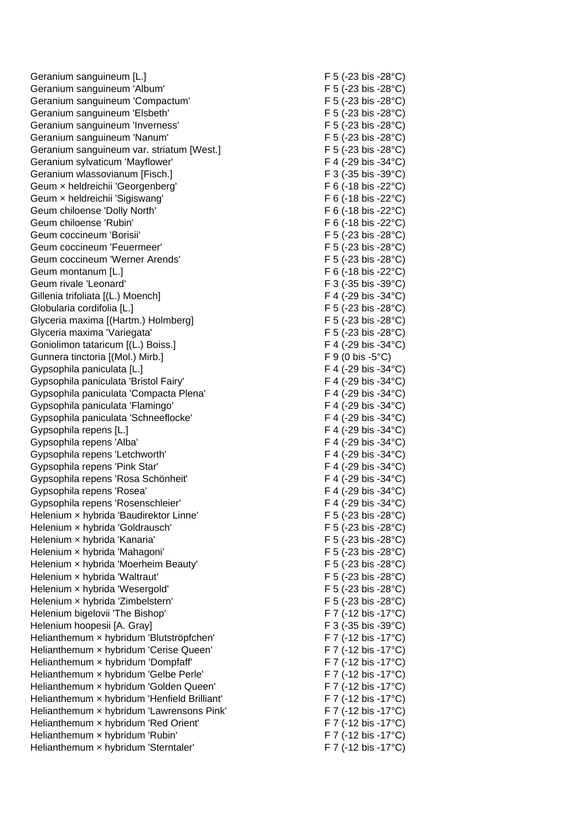Geranium sanguineum [L.] **F** 5 (-23 bis -28°C) Geranium sanguineum 'Album' et al. (F 5 (-23 bis -28°C) Geranium sanguineum 'Compactum' F 5 (-23 bis -28°C) Geranium sanguineum 'Elsbeth' F 5 (-23 bis -28°C) Geranium sanguineum 'Inverness' extending the state of F 5 (-23 bis -28°C) Geranium sanguineum 'Nanum' et al. (23 bis -28°C) Geranium sanguineum var. striatum [West.] F 5 (-23 bis -28°C) Geranium sylvaticum 'Mayflower' F 4 (-29 bis -34°C) Geranium wlassovianum [Fisch.] The state of the state of the State of Terminal Section 1 and Terminal Section 1 Geum x heldreichii 'Georgenberg' F 6 (-18 bis -22°C) Geum x heldreichii 'Sigiswang' F 6 (-18 bis -22 °C) Geum chiloense 'Dolly North' F 6 (-18 bis -22 °C) Geum chiloense 'Rubin' The Contract of the Contract of the F 6 (-18 bis -22°C) Geum coccineum 'Borisii' F 5 (-23 bis -28°C) Geum coccineum 'Feuermeer' example and the settlement of the F 5 (-23 bis -28°C) Geum coccineum 'Werner Arends' F 5 (-23 bis -28°C) Geum montanum [L.] **F** 6 (-18 bis -22°C) Geum rivale 'Leonard' Geum rivale 'Leonard' F 3 (-35 bis -39°C) Gillenia trifoliata  $[(L.) \text{ Moench}]$  F 4 (-29 bis -34°C) Globularia cordifolia [L.] F 5 (-23 bis -28°C) Glyceria maxima [(Hartm.) Holmberg] F 5 (-23 bis -28°C) Glyceria maxima 'Variegata' F 5 (-23 bis -28°C) Goniolimon tataricum [(L.) Boiss.] F 4 (-29 bis -34°C) Gunnera tinctoria [(Mol.) Mirb.] F 9 (0 bis -5°C) Gypsophila paniculata [L.] F 4 (-29 bis -34°C) Gypsophila paniculata 'Bristol Fairy' F 4 (-29 bis -34°C) Gypsophila paniculata 'Compacta Plena' F 4 (-29 bis -34°C) Gypsophila paniculata 'Flamingo' F 4 (-29 bis -34°C) Gypsophila paniculata 'Schneeflocke' F 4 (-29 bis -34°C) Gypsophila repens [L.] F 4 (-29 bis -34°C) Gypsophila repens 'Alba' F 4 (-29 bis -34°C) Gypsophila repens 'Letchworth' F 4 (-29 bis -34 °C) Gypsophila repens 'Pink Star' F 4 (-29 bis -34°C) Gypsophila repens 'Rosa Schönheit' F 4 (-29 bis -34°C) Gypsophila repens 'Rosea' F 4 (-29 bis -34°C)<br>Gypsophila repens 'Rosenschleier' F 4 (-29 bis -34°C) Gypsophila repens 'Rosenschleier' Helenium x hybrida 'Baudirektor Linne' F 5 (-23 bis -28°C) Helenium x hybrida 'Goldrausch' F 5 (-23 bis -28°C) Helenium × hybrida 'Kanaria' F 5 (-23 bis -28°C) Helenium x hybrida 'Mahagoni' F 5 (-23 bis -28°C) Helenium × hybrida 'Moerheim Beauty' F 5 (-23 bis -28°C) Helenium x hybrida 'Waltraut'  $F$  5 (-23 bis -28°C) Helenium x hybrida 'Wesergold' F 5 (-23 bis -28°C) Helenium × hybrida 'Zimbelstern' F 5 (-23 bis -28°C) Helenium bigelovii 'The Bishop' F 7 (-12 bis -17°C) Helenium hoopesii [A. Gray] F 3 (-35 bis -39°C) Helianthemum × hybridum 'Blutströpfchen' F 7 (-12 bis -17°C) Helianthemum x hybridum 'Cerise Queen' F 7 (-12 bis -17°C) Helianthemum x hybridum 'Dompfaff' F 7 (-12 bis -17°C) Helianthemum x hybridum 'Gelbe Perle' F 7 (-12 bis -17°C) Helianthemum x hybridum 'Golden Queen' F7 (-12 bis -17°C) Helianthemum x hybridum 'Henfield Brilliant' F 7 (-12 bis -17°C) Helianthemum x hybridum 'Lawrensons Pink' F7 (-12 bis -17°C) Helianthemum x hybridum 'Red Orient' F 7 (-12 bis -17°C) Helianthemum x hybridum 'Rubin'  $F 7$  (-12 bis -17°C) Helianthemum x hybridum 'Sterntaler' F 7 (-12 bis -17°C)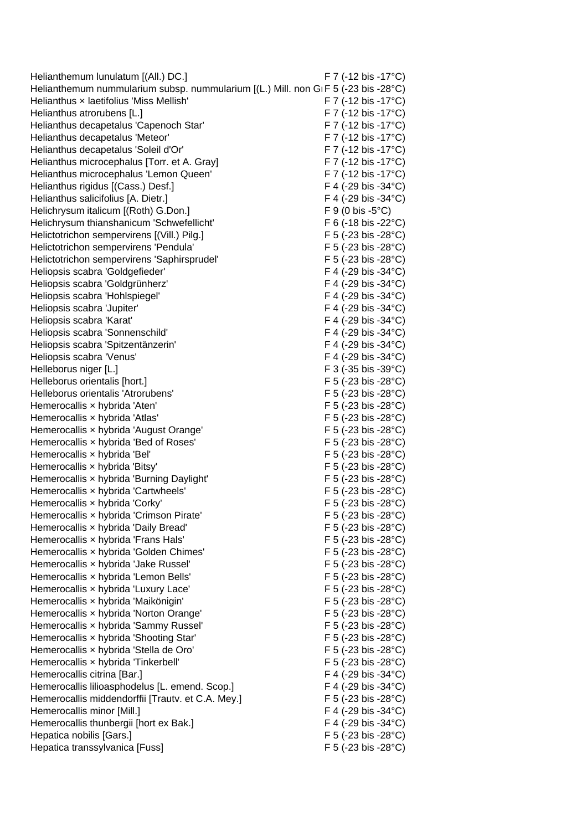Helianthemum lunulatum [(All.) DC.] F 7 (-12 bis -17°C) Helianthemum nummularium subsp. nummularium [(L.) Mill. non GIF 5 (-23 bis -28°C) Helianthus x laetifolius 'Miss Mellish' F 7 (-12 bis -17°C) Helianthus atrorubens [L.] F 7 (-12 bis -17°C) Helianthus decapetalus 'Capenoch Star' F7 (-12 bis -17°C) Helianthus decapetalus 'Meteor' F 7 (-12 bis -17°C) Helianthus decapetalus 'Soleil d'Or' F 7 (-12 bis -17°C) Helianthus microcephalus [Torr. et A. Gray] F 7 (-12 bis -17°C) Helianthus microcephalus 'Lemon Queen' F 7 (-12 bis -17°C) Helianthus rigidus [(Cass.) Desf.] F 4 (-29 bis -34°C) Helianthus salicifolius [A. Dietr.] F 4 (-29 bis -34°C) Helichrysum italicum [(Roth) G.Don.] F 9 (0 bis -5°C) Helichrysum thianshanicum 'Schwefellicht' F 6 (-18 bis -22 °C) Helictotrichon sempervirens [(Vill.) Pilg.] F 5 (-23 bis -28°C) Helictotrichon sempervirens 'Pendula' F 5 (-23 bis -28°C) Helictotrichon sempervirens 'Saphirsprudel' F 5 (-23 bis -28°C) Heliopsis scabra 'Goldgefieder' F 4 (-29 bis -34°C) Heliopsis scabra 'Goldgrünherz' F 4 (-29 bis -34°C) Heliopsis scabra 'Hohlspiegel' F 4 (-29 bis -34°C) Heliopsis scabra 'Jupiter' The Contract of the F 4 (-29 bis -34°C) Heliopsis scabra 'Karat' F 4 (-29 bis -34°C) Heliopsis scabra 'Sonnenschild' F 4 (-29 bis -34°C) Heliopsis scabra 'Spitzentänzerin' F 4 (-29 bis -34°C) Heliopsis scabra 'Venus' F 4 (-29 bis -34°C) Helleborus niger [L.] F 3 (-35 bis -39°C) Helleborus orientalis [hort.] F 5 (-23 bis -28°C) Helleborus orientalis 'Atrorubens' F 5 (-23 bis -28°C) Hemerocallis x hybrida 'Aten' example and the set of the F 5 (-23 bis -28°C) Hemerocallis × hybrida 'Atlas' F 5 (-23 bis -28°C) Hemerocallis x hybrida 'August Orange' F 5 (-23 bis -28°C) Hemerocallis x hybrida 'Bed of Roses' F 5 (-23 bis -28°C) Hemerocallis x hybrida 'Bel' F 5 (-23 bis -28°C) Hemerocallis × hybrida 'Bitsy' F 5 (-23 bis -28°C) Hemerocallis × hybrida 'Burning Daylight' F 5 (-23 bis -28°C) Hemerocallis x hybrida 'Cartwheels' F 5 (-23 bis -28°C) Hemerocallis x hybrida 'Corky' The Core of the Second Hemerocallis x hybrida 'Corky' The Second Hemerocallis x hybrida 'Corky' Hemerocallis x hybrida 'Crimson Pirate' F 5 (-23 bis -28°C) Hemerocallis x hybrida 'Daily Bread' F 5 (-23 bis -28°C) Hemerocallis × hybrida 'Frans Hals' F 5 (-23 bis -28°C) Hemerocallis x hybrida 'Golden Chimes' F 5 (-23 bis -28°C) Hemerocallis x hybrida 'Jake Russel' F 5 (-23 bis -28°C) Hemerocallis x hybrida 'Lemon Bells' F 5 (-23 bis -28°C) Hemerocallis x hybrida 'Luxury Lace' F 5 (-23 bis -28°C) Hemerocallis × hybrida 'Maikönigin' F 5 (-23 bis -28°C) Hemerocallis x hybrida 'Norton Orange' F 5 (-23 bis -28°C) Hemerocallis x hybrida 'Sammy Russel' F 5 (-23 bis -28°C) Hemerocallis x hybrida 'Shooting Star' F 5 (-23 bis -28°C) Hemerocallis x hybrida 'Stella de Oro' F 5 (-23 bis -28°C) Hemerocallis x hybrida 'Tinkerbell' F 5 (-23 bis -28°C) Hemerocallis citrina [Bar.] F 4 (-29 bis -34°C) Hemerocallis lilioasphodelus [L. emend. Scop.] F 4 (-29 bis -34°C) Hemerocallis middendorffii [Trautv. et C.A. Mey.] F 5 (-23 bis -28°C) Hemerocallis minor [Mill.] F 4 (-29 bis -34°C) Hemerocallis thunbergii [hort ex Bak.] F 4 (-29 bis -34°C)<br>Hepatica nobilis [Gars.] F 5 (-23 bis -28°C) Hepatica nobilis [Gars.] Hepatica transsylvanica [Fuss] F 5 (-23 bis -28°C)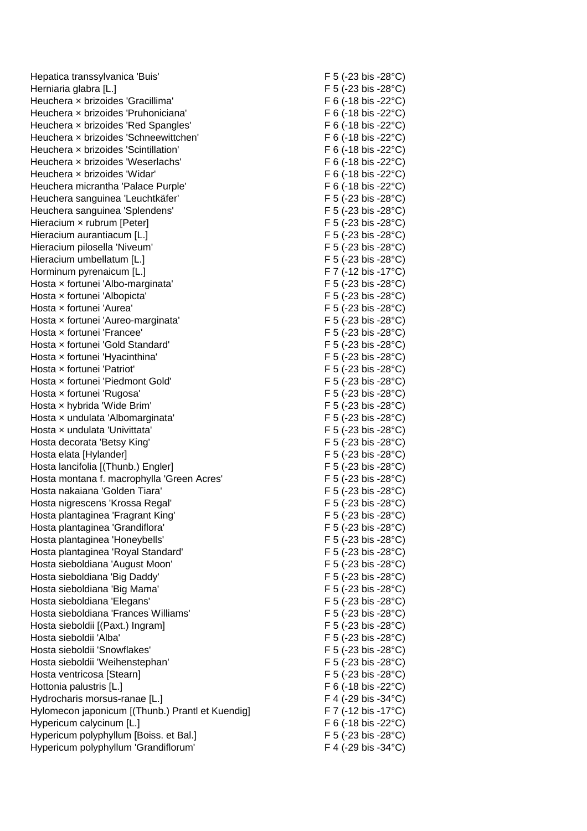Hepatica transsylvanica 'Buis' F 5 (-23 bis -28°C) Herniaria glabra [L.] F 5 (-23 bis -28°C) Heuchera × brizoides 'Gracillima' F 6 (-18 bis -22°C) Heuchera x brizoides 'Pruhoniciana' F 6 (-18 bis -22°C) Heuchera x brizoides 'Red Spangles' F 6 (-18 bis -22 °C) Heuchera × brizoides 'Schneewittchen' F 6 (-18 bis -22°C) Heuchera x brizoides 'Scintillation' F 6 (-18 bis -22 °C) Heuchera x brizoides 'Weserlachs' F 6 (-18 bis -22 °C) Heuchera x brizoides 'Widar' extended to the set of the F 6 (-18 bis -22°C) Heuchera micrantha 'Palace Purple' F 6 (-18 bis -22°C) Heuchera sanguinea 'Leuchtkäfer' F 5 (-23 bis -28°C) Heuchera sanguinea 'Splendens' F 5 (-23 bis -28°C) Hieracium x rubrum [Peter] F 5 (-23 bis -28°C) Hieracium aurantiacum [L.] F 5 (-23 bis -28°C) Hieracium pilosella 'Niveum' et al. (23 bis -28°C) Hieracium umbellatum [L.] F 5 (-23 bis -28°C) Horminum pyrenaicum [L.] F 7 (-12 bis -17°C) Hosta x fortunei 'Albo-marginata' F 5 (-23 bis -28°C) Hosta x fortunei 'Albopicta'  $\overline{F}$  5 (-23 bis -28°C) Hosta x fortunei 'Aurea' F 5 (-23 bis -28°C) Hosta × fortunei 'Aureo-marginata' F 5 (-23 bis -28°C) Hosta x fortunei 'Francee' exercised and the set of the F 5 (-23 bis -28°C) Hosta × fortunei 'Gold Standard' F 5 (-23 bis -28°C) Hosta × fortunei 'Hyacinthina' F 5 (-23 bis -28°C) Hosta x fortunei 'Patriot'  $\qquad \qquad$  F 5 (-23 bis -28°C) Hosta x fortunei 'Piedmont Gold' F 5 (-23 bis -28°C) Hosta x fortunei 'Rugosa'  $F 5 (-23 \text{ bis } -28^{\circ} \text{C})$ Hosta x hybrida 'Wide Brim' F 5 (-23 bis -28°C) Hosta × undulata 'Albomarginata' F 5 (-23 bis -28°C) Hosta x undulata 'Univittata'  $\qquad \qquad$  F 5 (-23 bis -28°C) Hosta decorata 'Betsy King' F 5 (-23 bis -28°C) Hosta elata [Hylander] F 5 (-23 bis -28°C) Hosta lancifolia [(Thunb.) Engler] F 5 (-23 bis -28°C) Hosta montana f. macrophylla 'Green Acres' F 5 (-23 bis -28°C) Hosta nakaiana 'Golden Tiara' F 5 (-23 bis -28°C) Hosta nigrescens 'Krossa Regal' F 5 (-23 bis -28°C) Hosta plantaginea 'Fragrant King' F 5 (-23 bis -28°C) Hosta plantaginea 'Grandiflora' F 5 (-23 bis -28°C) Hosta plantaginea 'Honeybells' F 5 (-23 bis -28°C) Hosta plantaginea 'Royal Standard' F 5 (-23 bis -28°C) Hosta sieboldiana 'August Moon' F 5 (-23 bis -28°C) Hosta sieboldiana 'Big Daddy' F 5 (-23 bis -28°C) Hosta sieboldiana 'Big Mama' F 5 (-23 bis -28°C) Hosta sieboldiana 'Elegans' F 5 (-23 bis -28°C) Hosta sieboldiana 'Frances Williams' F 5 (-23 bis -28°C) Hosta sieboldii [(Paxt.) Ingram] F 5 (-23 bis -28°C) Hosta sieboldii 'Alba' F 5 (-23 bis -28°C) Hosta sieboldii 'Snowflakes' F 5 (-23 bis -28°C) Hosta sieboldii 'Weihenstephan' F 5 (-23 bis -28°C) Hosta ventricosa [Stearn] F 5 (-23 bis -28°C) Hottonia palustris [L.] F 6 (-18 bis -22°C) Hydrocharis morsus-ranae [L.] F 4 (-29 bis -34°C) Hylomecon japonicum [(Thunb.) Prantl et Kuendig] F 7 (-12 bis -17°C) Hypericum calycinum [L.] F 6 (-18 bis -22°C) Hypericum polyphyllum [Boiss. et Bal.] F 5 (-23 bis -28°C) Hypericum polyphyllum 'Grandiflorum' F 4 (-29 bis -34°C)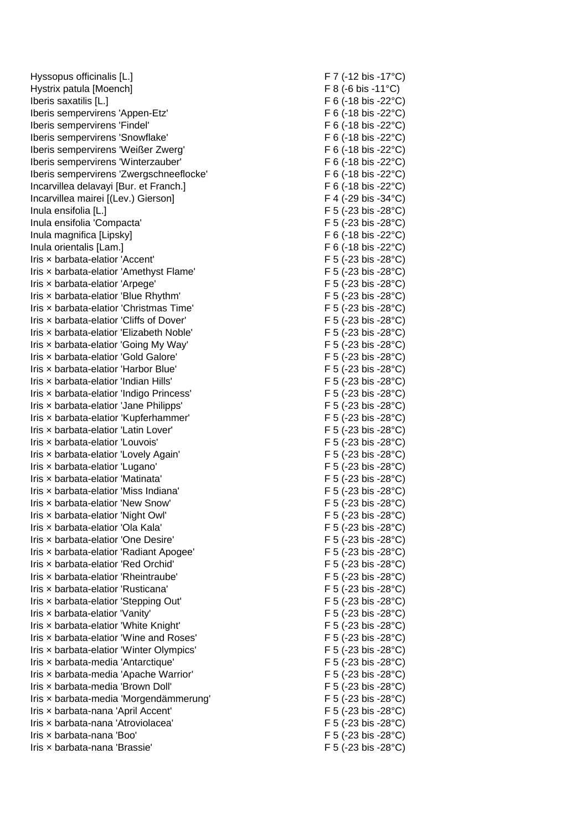Hyssopus officinalis [L.] F 7 (-12 bis -17°C) Hystrix patula [Moench] F 8 (-6 bis -11°C) Iberis saxatilis [L.] F 6 (-18 bis -22°C) Iberis sempervirens 'Appen-Etz' F 6 (-18 bis -22°C) Iberis sempervirens 'Findel' F 6 (-18 bis -22°C) Iberis sempervirens 'Snowflake' F 6 (-18 bis -22°C) Iberis sempervirens 'Weißer Zwerg' F 6 (-18 bis -22°C) Iberis sempervirens ' Iberis sempervirens 'Zwergschneeflocke' F 6 (-18 bis -22°C) Incarvillea delavayi [Bur. et Franch.] F 6 (-18 bis -22°C) Incarvillea mairei [(Lev.) Gierson] F 4 (-29 bis -34°C) Inula ensifolia [L.] F 5 (-23 bis -28°C) Inula ensifolia 'Compacta' F 5 (-23 bis -28°C) Inula magnifica [Lipsky] F 6 (-18 bis -22°C) Inula orientalis [Lam.] F 6 (-18 bis -22°C) Iris × barbata-elatior 'Accent' F 5 (-23 bis -28°C) Iris × barbata-elatior 'Amethyst Flame' F 5 (-23 bis -28°C) Iris x barbata-elatior 'Arpege' F 5 (-23 bis -28°C) Iris x barbata-elatior 'Blue Rhythm' F 5 (-23 bis -28°C) Iris x barbata-elatior 'Christmas Time' F 5 (-23 bis -28°C) Iris x barbata-elatior 'Cliffs of Dover' F 5 (-23 bis -28°C) Iris × barbata-elatior 'Elizabeth Noble' F 5 (-23 bis -28°C) Iris x barbata-elatior 'Going My Way' F 5 (-23 bis -28°C) Iris x barbata-elatior 'Gold Galore' F 5 (-23 bis -28°C) Iris x barbata-elatior 'Harbor Blue' F 5 (-23 bis -28°C) Iris x barbata-elatior 'Indian Hills' F 5 (-23 bis -28°C) Iris × barbata-elatior 'Indigo Princess' F 5 (-23 bis -28°C) Iris × barbata-elatior 'Jane Philipps' F 5 (-23 bis -28°C) Iris × barbata-elatior 'Kupferhammer' F 5 (-23 bis -28°C) Iris x barbata-elatior 'Latin Lover' F 5 (-23 bis -28°C) Iris × barbata-elatior 'Louvois' F 5 (-23 bis -28°C) Iris x barbata-elatior 'Lovely Again' F 5 (-23 bis -28°C) Iris × barbata-elatior 'Lugano' F 5 (-23 bis -28°C) Iris × barbata-elatior 'Matinata' F 5 (-23 bis -28°C) Iris x barbata-elatior 'Miss Indiana' F 5 (-23 bis -28°C) Iris × barbata-elatior 'New Snow' F 5 (-23 bis -28°C) Iris × barbata-elatior 'Night Owl' F 5 (-23 bis -28°C) Iris x barbata-elatior 'Ola Kala' F 5 (-23 bis -28°C) Iris x barbata-elatior 'One Desire' F 5 (-23 bis -28°C) Iris × barbata-elatior 'Radiant Apogee' F 5 (-23 bis -28°C) Iris x barbata-elatior 'Red Orchid' F 5 (-23 bis -28°C) Iris × barbata-elatior 'Rheintraube' F 5 (-23 bis -28°C) Iris x barbata-elatior 'Rusticana' F 5 (-23 bis -28°C) Iris x barbata-elatior 'Stepping Out' F5 (-23 bis -28°C) Iris × barbata-elatior 'Vanity' F 5 (-23 bis -28°C) Iris x barbata-elatior 'White Knight' F 5 (-23 bis -28°C) Iris x barbata-elatior 'Wine and Roses' Iris x barbata-elatior 'Winter Olympics' Iris × barbata-media 'Antarctique' F 5 (-23 bis -28°C) Iris x barbata-media 'Apache Warrior' F 5 (-23 bis -28°C) Iris x barbata-media 'Brown Doll' F 5 (-23 bis -28°C) Iris × barbata-media 'Morgendämmerung' F 5 (-23 bis -28°C) Iris × barbata-nana 'April Accent' F 5 (-23 bis -28°C) Iris × barbata-nana 'Atroviolacea' F 5 (-23 bis -28°C) Iris × barbata-nana 'Boo' F 5 (-23 bis -28°C) Iris × barbata-nana 'Brassie' F 5 (-23 bis -28°C)

 $F 6$  (-18 bis -22 $^{\circ}$ C)  $F$  5 (-23 bis -28°C)  $F 5$  (-23 bis -28°C)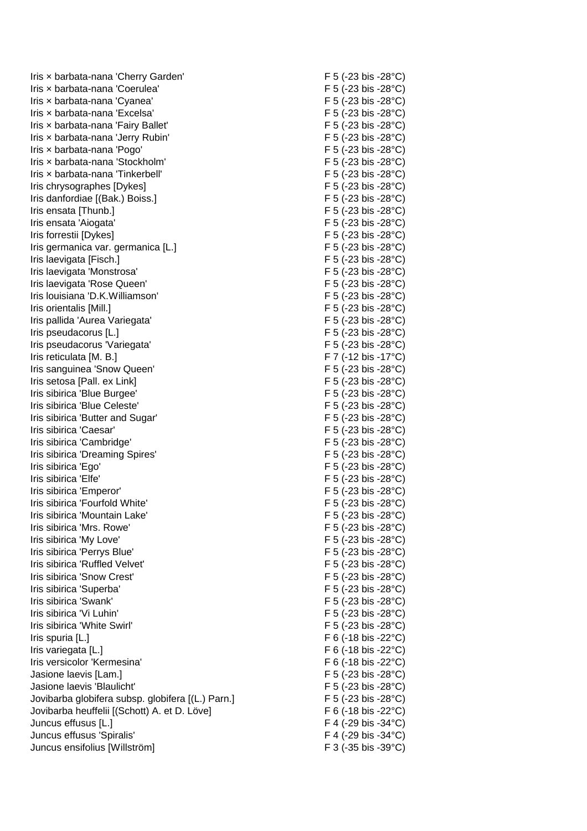Iris x barbata-nana 'Cherry Garden' F 5 (-23 bis -28°C) Iris x barbata-nana 'Coerulea' et al. (1995) F 5 (-23 bis -28°C) Iris x barbata-nana 'Cyanea' F 5 (-23 bis -28°C) Iris x barbata-nana 'Excelsa' F 5 (-23 bis -28°C) Iris x barbata-nana 'Fairy Ballet' F 5 (-23 bis -28°C) Iris × barbata-nana 'Jerry Rubin' F 5 (-23 bis -28°C) Iris × barbata-nana 'Pogo' F 5 (-23 bis -28°C) Iris × barbata-nana 'Stockholm' F 5 (-23 bis -28°C) Iris x barbata-nana 'Tinkerbell' F 5 (-23 bis -28°C) Iris chrysographes [Dykes] F 5 (-23 bis -28°C) Iris danfordiae [(Bak.) Boiss.] F 5 (-23 bis -28°C) Iris ensata [Thunb.] F 5 (-23 bis -28°C) Iris ensata 'Aiogata' F 5 (-23 bis -28°C) Iris forrestii [Dykes] F 5 (-23 bis -28°C) Iris germanica var. germanica [L.] F 5 (-23 bis -28°C) Iris laevigata [Fisch.] F 5 (-23 bis -28°C) Iris laevigata 'Monstrosa' F 5 (-23 bis -28°C) Iris laevigata 'Rose Queen' F 5 (-23 bis -28°C) Iris louisiana 'D.K.Williamson' Iris orientalis [Mill.] F 5 (-23 bis -28°C) Iris pallida 'Aurea Variegata' F 5 (-23 bis -28°C) Iris pseudacorus [L.] F 5 (-23 bis -28°C) Iris pseudacorus 'Variegata' F 5 (-23 bis -28°C) Iris reticulata [M. B.] F 7 (-12 bis -17°C) Iris sanguinea 'Snow Queen' F 5 (-23 bis -28°C) Iris setosa [Pall. ex Link] F 5 (-23 bis -28°C) Iris sibirica 'Blue Burgee' F 5 (-23 bis -28°C) Iris sibirica 'Blue Celeste' F 5 (-23 bis -28°C) Iris sibirica 'Butter and Sugar' F 5 (-23 bis -28°C) Iris sibirica 'Caesar' F 5 (-23 bis -28°C) Iris sibirica 'Cambridge' F 5 (-23 bis -28°C) Iris sibirica 'Dreaming Spires' F 5 (-23 bis -28°C) Iris sibirica 'Ego' F 5 (-23 bis -28°C) Iris sibirica 'Elfe' F 5 (-23 bis -28°C) Iris sibirica 'Emperor' F 5 (-23 bis -28°C) Iris sibirica 'Fourfold White' F 5 (-23 bis -28°C) Iris sibirica 'Mountain Lake' extended the state of the F 5 (-23 bis -28°C) Iris sibirica 'Mrs. Rowe'  $\overline{F}$  5 (-23 bis -28°C) Iris sibirica 'My Love' F 5 (-23 bis -28°C) Iris sibirica 'Perrys Blue' F 5 (-23 bis -28°C) Iris sibirica 'Ruffled Velvet' F 5 (-23 bis -28°C) Iris sibirica 'Snow Crest' F 5 (-23 bis -28°C) Iris sibirica 'Superba' F 5 (-23 bis -28°C) Iris sibirica 'Swank'  $\overline{F}$  5 (-23 bis -28°C) Iris sibirica 'Vi Luhin' The Contract of the Contract of the F 5 (-23 bis -28°C) Iris sibirica 'White Swirl' F 5 (-23 bis -28°C) Iris spuria [L.]  $F \cdot 6$  (-18 bis -22 °C) Iris variegata [L.] F 6 (-18 bis -22°C) Iris versicolor 'Kermesina' F 6 (-18 bis -22°C) Jasione laevis [Lam.] F 5 (-23 bis -28°C) Jasione laevis 'Blaulicht' F 5 (-23 bis -28°C) Jovibarba globifera subsp. globifera [(L.) Parn.] F 5 (-23 bis -28°C) Jovibarba heuffelii [(Schott) A. et D. Löve] F 6 (-18 bis -22°C) Juncus effusus [L.] F 4 (-29 bis -34°C) Juncus effusus 'Spiralis' F 4 (-29 bis -34°C) Juncus ensifolius [

 $F$  5 (-23 bis -28 $^{\circ}$ C)  $F$  3 (-35 bis -39 $°C$ )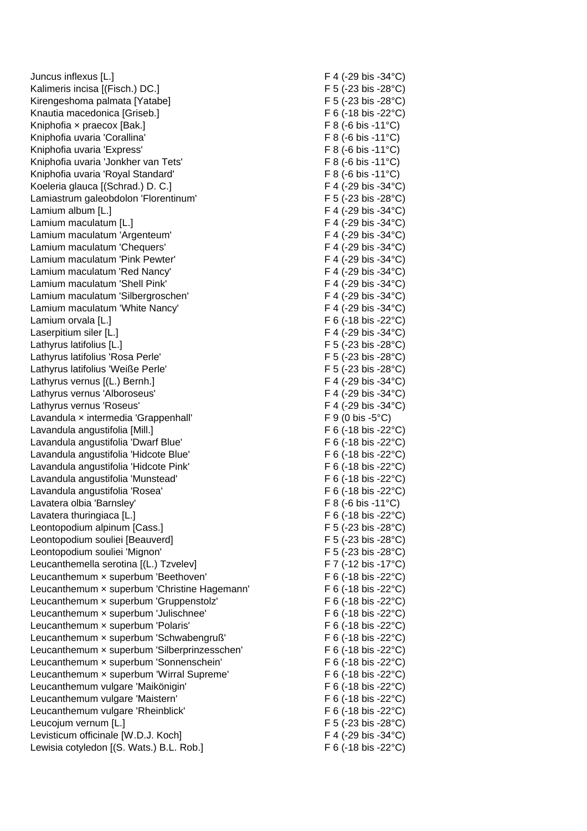Juncus inflexus [L.] F 4 (-29 bis -34°C) Kalimeris incisa [(Fisch.) DC.] F 5 (-23 bis -28°C) Kirengeshoma palmata [Yatabe] F 5 (-23 bis -28°C) Knautia macedonica [Griseb.] F 6 (-18 bis -22 °C) Kniphofia × praecox [Bak.] F 8 (-6 bis -11°C) Kniphofia uvaria 'Corallina' F 8 (-6 bis -11°C) Kniphofia uvaria 'Express' et al. (a) Annual Company of F 8 (-6 bis -11°C) Kniphofia uvaria 'Jonkher van Tets' F 8 (-6 bis -11°C) Kniphofia uvaria 'Royal Standard' F 8 (-6 bis -11°C) Koeleria glauca [(Schrad.) D. C.] F 4 (-29 bis -34°C) Lamiastrum galeobdolon 'Florentinum' F 5 (-23 bis -28°C) Lamium album [L.] F 4 (-29 bis -34°C) Lamium maculatum [L.] Eq. in the state of the state of the state of the state of the state of the state of the state of the state of the state of the state of the state of the state of the state of the state of the state o Lamium maculatum 'Argenteum' F 4 (-29 bis -34°C) Lamium maculatum 'Chequers' F 4 (-29 bis -34°C) Lamium maculatum 'Pink Pewter'  $F \cdot 4 (-29)$  bis -34°C) Lamium maculatum 'Red Nancy' E 4 (-29 bis -34°C) Lamium maculatum 'Shell Pink' F 4 (-29 bis -34°C) Lamium maculatum 'Silbergroschen' F 4 (-29 bis -34°C) Lamium maculatum 'White Nancy' The Control of the F 4 (-29 bis -34°C) Lamium orvala [L.] F 6 (-18 bis -22°C) Laserpitium siler [L.] F 4 (-29 bis -34°C) Lathyrus latifolius [L.] F 5 (-23 bis -28°C) Lathyrus latifolius 'Rosa Perle' F 5 (-23 bis -28°C) Lathyrus latifolius 'Weiße Perle' F 5 (-23 bis -28°C) Lathyrus vernus [(L.) Bernh.] F 4 (-29 bis -34°C) Lathyrus vernus 'Alboroseus' F 4 (-29 bis -34°C) Lathyrus vernus 'Roseus' F 4 (-29 bis -34°C) Lavandula x intermedia 'Grappenhall' F 9 (0 bis -5°C) Lavandula angustifolia [Mill.] F 6 (-18 bis -22°C) Lavandula angustifolia 'Dwarf Blue' F 6 (-18 bis -22°C) Lavandula angustifolia 'Hidcote Blue' F 6 (-18 bis -22°C) Lavandula angustifolia 'Hidcote Pink' F 6 (-18 bis -22°C) Lavandula angustifolia 'Munstead' entitled and F 6 (-18 bis -22°C) Lavandula angustifolia 'Rosea' F 6 (-18 bis -22 °C) Lavatera olbia 'Barnsley'  $\overline{F}$  8 (-6 bis -11°C) Lavatera thuringiaca [L.] Exercise the state of the state of the state of the state of the state of the state of the state of the state of the state of the state of the state of the state of the state of the state of the s Leontopodium alpinum [Cass.] F 5 (-23 bis -28°C) Leontopodium souliei [Beauverd] F 5 (-23 bis -28°C) Leontopodium souliei 'Mignon' F 5 (-23 bis -28°C) Leucanthemella serotina [(L.) Tzvelev] F 7 (-12 bis -17°C) Leucanthemum x superbum 'Beethoven' F 6 (-18 bis -22 °C) Leucanthemum x superbum 'Christine Hagemann' F 6 (-18 bis -22°C) Leucanthemum x superbum 'Gruppenstolz' F 6 (-18 bis -22 °C) Leucanthemum x superbum 'Julischnee' F 6 (-18 bis -22 °C) Leucanthemum × superbum 'Polaris' F 6 (-18 bis -22°C) Leucanthemum × superbum 'Schwabengruß' F 6 (-18 bis -22°C) Leucanthemum x superbum 'Silberprinzesschen' F 6 (-18 bis -22°C) Leucanthemum x superbum 'Sonnenschein' F 6 (-18 bis -22 °C) Leucanthemum x superbum 'Wirral Supreme' F 6 (-18 bis -22°C) Leucanthemum vulgare 'Maikönigin' F 6 (-18 bis -22°C) Leucanthemum vulgare 'Maistern' The Contract of the F 6 (-18 bis -22 °C) Leucanthemum vulgare 'Rheinblick' F 6 (-18 bis -22 °C) Leucojum vernum [L.] F 5 (-23 bis -28°C) Levisticum officinale [W.D.J. Koch] F 4 (-29 bis -34°C) Lewisia cotyledon [(S. Wats.) B.L. Rob.] F 6 (-18 bis -22 °C)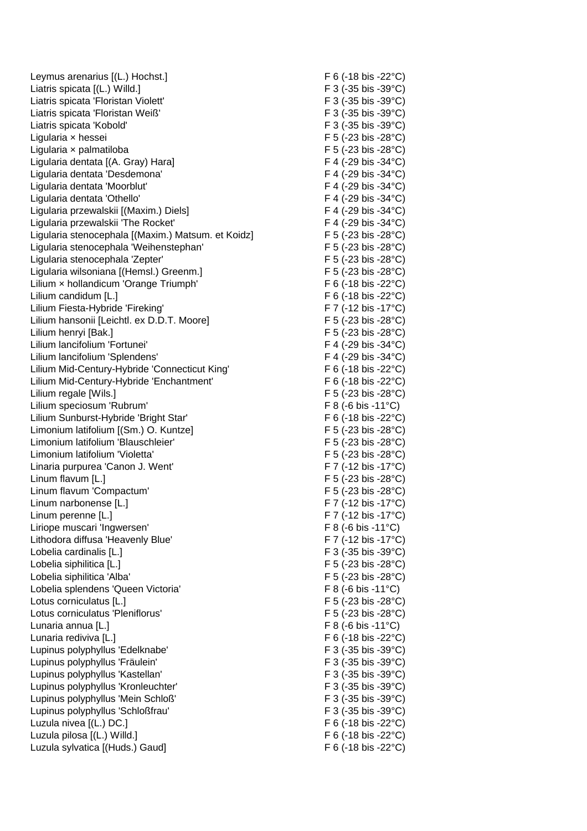Leymus arenarius [(L.) Hochst.] F 6 (-18 bis -22°C) Liatris spicata [(L.) Willd.] F 3 (-35 bis -39°C) Liatris spicata 'Floristan Violett' F 3 (-35 bis -39°C) Liatris spicata 'Floristan Weiß' F 3 (-35 bis -39°C) Liatris spicata 'Kobold' expansion of the set of the F 3 (-35 bis -39°C) Ligularia × hessei F 5 (-23 bis -28°C) Ligularia × palmatiloba F 5 (-23 bis -28°C) Ligularia dentata [(A. Gray) Hara] F 4 (-29 bis -34°C) Ligularia dentata 'Desdemona' F 4 (-29 bis -34°C) Ligularia dentata 'Moorblut' F 4 (-29 bis -34°C) Ligularia dentata 'Othello' F 4 (-29 bis -34°C) Ligularia przewalskii [(Maxim.) Diels] F 4 (-29 bis -34°C) Ligularia przewalskii 'The Rocket' F 4 (-29 bis -34°C) Ligularia stenocephala [(Maxim.) Matsum. et Koidz] F 5 (-23 bis -28°C) Ligularia stenocephala 'Weihenstephan' F 5 (-23 bis -28°C) Ligularia stenocephala 'Zepter' F 5 (-23 bis -28°C) Ligularia wilsoniana [(Hemsl.) Greenm.] F 5 (-23 bis -28°C) Lilium x hollandicum 'Orange Triumph' F 6 (-18 bis -22°C) Lilium candidum [L.] **F 6 (-18 bis -22°C)** Lilium Fiesta-Hybride 'Fireking' F7 (-12 bis -17°C) Lilium hansonii [Leichtl. ex D.D.T. Moore] F 5 (-23 bis -28°C) Lilium henryi [Bak.] F 5 (-23 bis -28°C) Lilium lancifolium 'Fortunei' F 4 (-29 bis -34°C) Lilium lancifolium 'Splendens' F 4 (-29 bis -34°C) Lilium Mid-Century-Hybride 'Connecticut King' F 6 (-18 bis -22°C) Lilium Mid-Century-Hybride 'Enchantment' F 6 (-18 bis -22°C) Lilium regale [Wils.] F 5 (-23 bis -28°C) Lilium speciosum 'Rubrum' F 8 (-6 bis -11°C) Lilium Sunburst-Hybride 'Bright Star' F 6 (-18 bis -22 °C) Limonium latifolium [(Sm.) O. Kuntze] F 5 (-23 bis -28°C) Limonium latifolium 'Blauschleier' F 5 (-23 bis -28°C) Limonium latifolium 'Violetta' F 5 (-23 bis -28°C) Linaria purpurea 'Canon J. Went' F7 (-12 bis -17°C) Linum flavum [L.] F 5 (-23 bis -28°C) Linum flavum 'Compactum' F 5 (-23 bis -28°C) Linum narbonense [L.] Example 19 and the set of the F 7 (-12 bis -17°C) Linum perenne [L.] Example 2011 12: The Contract of Turner of Turner and Turner of Turner and Turner of Turner Liriope muscari 'Ingwersen' F 8 (-6 bis -11<sup>°</sup>C) Lithodora diffusa 'Heavenly Blue' F 7 (-12 bis -17°C) Lobelia cardinalis [L.] F 3 (-35 bis -39°C) Lobelia siphilitica [L.] F 5 (-23 bis -28°C) Lobelia siphilitica 'Alba' F 5 (-23 bis -28°C) Lobelia splendens 'Queen Victoria' F 8 (-6 bis -11°C) Lotus corniculatus [L.] Entertainment of the state of the state of the state of the state of the state of the state of the state of the state of the state of the state of the state of the state of the state of the state of Lotus corniculatus 'Pleniflorus' F 5 (-23 bis -28°C) Lunaria annua [L.] F 8 (-6 bis -11°C) Lunaria rediviva [L.] Contract the contract of the contract of the contract of the contract of the contract of the contract of the contract of the contract of the contract of the contract of the contract of the contract of Lupinus polyphyllus 'Edelknabe' F 3 (-35 bis -39°C) Lupinus polyphyllus 'Fräulein' F 3 (-35 bis -39°C) Lupinus polyphyllus 'Kastellan' F 3 (-35 bis -39°C) Lupinus polyphyllus 'Kronleuchter' F 3 (-35 bis -39°C) Lupinus polyphyllus 'Mein Schloß' F 3 (-35 bis -39°C) Lupinus polyphyllus 'Schloßfrau' F 3 (-35 bis -39°C) Luzula nivea [(L.) DC.] F 6 (-18 bis -22°C) Luzula pilosa [(L.) Willd.] F 6 (-18 bis -22°C) Luzula sylvatica [(Huds.) Gaud] F 6 (-18 bis -22 °C)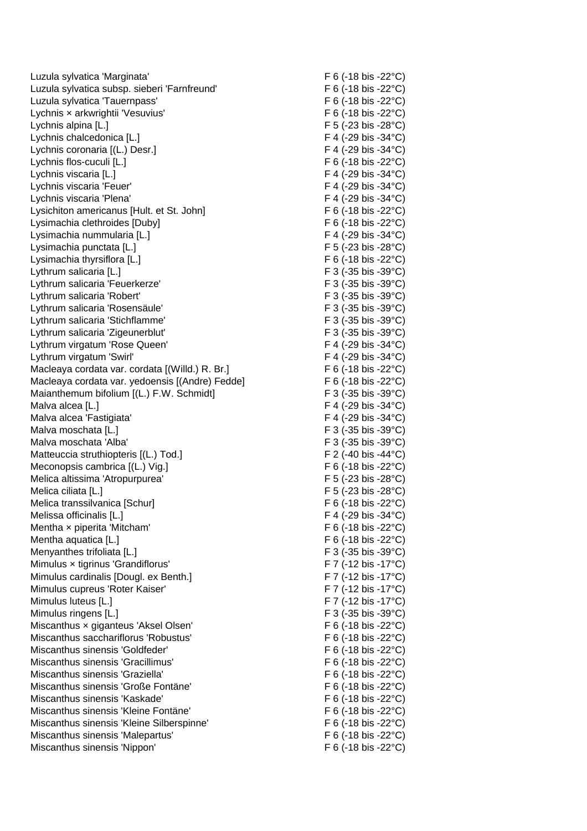Luzula sylvatica 'Marginata' F 6 (-18 bis -22°C) Luzula sylvatica subsp. sieberi 'Farnfreund' F 6 (-18 bis -22°C) Luzula sylvatica 'Tauernpass' F 6 (-18 bis -22°C) Lychnis x arkwrightii 'Vesuvius' F 6 (-18 bis -22 °C) Lychnis alpina [L.] F 5 (-23 bis -28°C) Lychnis chalcedonica [L.] F 4 (-29 bis -34°C) Lychnis coronaria [(L.) Desr.] F 4 (-29 bis -34°C) Lychnis flos-cuculi [L.] F 6 (-18 bis -22°C) Lychnis viscaria [L.] F 4 (-29 bis -34°C) Lychnis viscaria 'Feuer' The Contract of the Contract of the Contract of the Contract of the Contract of the Contract of the Contract of the Contract of the Contract of the Contract of the Contract of the Contract of the C Lychnis viscaria 'Plena' F 4 (-29 bis -34°C) Lysichiton americanus [Hult. et St. John] F 6 (-18 bis -22 °C) Lysimachia clethroides [Duby] F 6 (-18 bis -22°C) Lysimachia nummularia [L.] F 4 (-29 bis -34°C) Lysimachia punctata [L.] F 5 (-23 bis -28°C) Lysimachia thyrsiflora [L.] F 6 (-18 bis -22°C) Lythrum salicaria [L.] External state of the state of the state of the state of the state of the state of the state of the state of the state of the state of the state of the state of the state of the state of the state of Lythrum salicaria 'Feuerkerze' F 3 (-35 bis -39°C) Lythrum salicaria 'Robert' The Contract of the Contract of the Contract of the Contract of Tag and Tag and Tag and Tag and Tag and Tag and Tag and Tag and Tag and Tag and Tag and Tag and Tag and Tag and Tag and Tag and Tag Lythrum salicaria 'Rosensäule' F 3 (-35 bis -39°C) Lythrum salicaria 'Stichflamme' F 3 (-35 bis -39°C) Lythrum salicaria 'Zigeunerblut' F 3 (-35 bis -39°C) Lythrum virgatum 'Rose Queen' example and the state of F 4 (-29 bis -34°C) Lythrum virgatum 'Swirl' F 4 (-29 bis -34°C) Macleaya cordata var. cordata [(Willd.) R. Br.] F 6 (-18 bis -22°C) Macleaya cordata var. yedoensis [(Andre) Fedde] F 6 (-18 bis -22°C) Maianthemum bifolium [(L.) F.W. Schmidt] F 3 (-35 bis -39°C) Malva alcea [L.] F 4 (-29 bis -34°C) Malva alcea 'Fastigiata' F 4 (-29 bis -34°C) Malva moschata [L.] **F 3 (-35 bis -39°C)** Malva moschata 'Alba' et al. et al. et al. et al. et al. et al. et al. et al. et al. et al. et al. et al. et a Matteuccia struthiopteris [(L.) Tod.] F 2 (-40 bis -44°C) Meconopsis cambrica  $[(L.) \text{ Vig.}]$  F 6 (-18 bis -22 °C) Melica altissima 'Atropurpurea'  $F 5 (-23 \text{ bis } -28^{\circ} \text{C})$ Melica ciliata [L.] F 5 (-23 bis -28°C) Melica transsilvanica [Schur] F 6 (-18 bis -22°C) Melissa officinalis [L.] The Contract of the Contract of the Contract of the F 4 (-29 bis -34°C) Mentha x piperita 'Mitcham'  $F 6 (-18 \text{ bis } -22^{\circ} \text{C})$ Mentha aquatica [L.] The Contract of Contract of Contract of Contract of Contract of Contract of Contract of Contract of Contract of Contract of Contract of Contract of Contract of Contract of Contract of Contract of Contr Menyanthes trifoliata [L.] F 3 (-35 bis -39°C) Mimulus × tigrinus 'Grandiflorus' F 7 (-12 bis -17°C) Mimulus cardinalis [Dougl. ex Benth.] F 7 (-12 bis -17°C) Mimulus cupreus 'Roter Kaiser' F 7 (-12 bis -17°C) Mimulus luteus [L.] F 7 (-12 bis -17°C) Mimulus ringens [L.] F 3 (-35 bis -39°C) Miscanthus x giganteus 'Aksel Olsen' F 6 (-18 bis -22 °C) Miscanthus sacchariflorus 'Robustus' F 6 (-18 bis -22°C) Miscanthus sinensis 'Goldfeder' F 6 (-18 bis -22 °C) Miscanthus sinensis 'Gracillimus' F 6 (-18 bis -22°C) Miscanthus sinensis 'Graziella' F 6 (-18 bis -22°C) Miscanthus sinensis 'Große Fontäne' F 6 (-18 bis -22 °C) Miscanthus sinensis 'Kaskade' The Control of the F 6 (-18 bis -22 °C) Miscanthus sinensis 'Kleine Fontäne' F 6 (-18 bis -22°C) Miscanthus sinensis 'Kleine Silberspinne' F 6 (-18 bis -22 °C) Miscanthus sinensis 'Malepartus' F 6 (-18 bis -22°C) Miscanthus sinensis 'Nippon' F 6 (-18 bis -22 °C)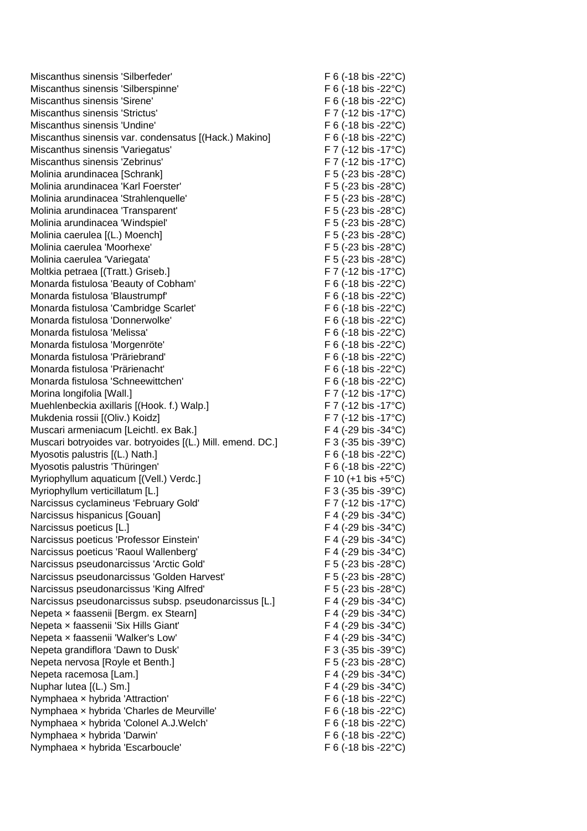Miscanthus sinensis 'Silberfeder' F 6 (-18 bis -22 °C) Miscanthus sinensis 'Silberspinne' F 6 (-18 bis -22 °C) Miscanthus sinensis 'Sirene' F 6 (-18 bis -22 °C) Miscanthus sinensis 'Strictus' F 7 (-12 bis -17°C) Miscanthus sinensis 'Undine' The Contract of the F 6 (-18 bis -22 °C) Miscanthus sinensis var. condensatus [(Hack.) Makino] F 6 (-18 bis -22°C) Miscanthus sinensis 'Variegatus' F 7 (-12 bis -17 °C) Miscanthus sinensis 'Zebrinus' F 7 (-12 bis -17°C) Molinia arundinacea [Schrank] F 5 (-23 bis -28°C) Molinia arundinacea 'Karl Foerster' F 5 (-23 bis -28°C) Molinia arundinacea 'Strahlenquelle' F 5 (-23 bis -28°C) Molinia arundinacea 'Transparent' F 5 (-23 bis -28°C) Molinia arundinacea 'Windspiel'  $F$  5 (-23 bis -28°C) Molinia caerulea [(L.) Moench] F 5 (-23 bis -28°C) Molinia caerulea 'Moorhexe' eta alian eta alian eta F 5 (-23 bis -28°C) Molinia caerulea 'Variegata' F 5 (-23 bis -28°C) Moltkia petraea [(Tratt.) Griseb.] F 7 (-12 bis -17°C) Monarda fistulosa 'Beauty of Cobham' F 6 (-18 bis -22°C) Monarda fistulosa 'Blaustrumpf' F 6 (-18 bis -22 °C) Monarda fistulosa 'Cambridge Scarlet' F 6 (-18 bis -22 °C) Monarda fistulosa 'Donnerwolke' F 6 (-18 bis -22 °C) Monarda fistulosa 'Melissa' F 6 (-18 bis -22°C) Monarda fistulosa 'Morgenröte' F 6 (-18 bis -22°C) Monarda fistulosa 'Präriebrand' F 6 (-18 bis -22°C) Monarda fistulosa 'Prärienacht' F 6 (-18 bis -22°C) Monarda fistulosa 'Schneewittchen' F 6 (-18 bis -22°C) Morina longifolia [Wall.] **F 7** (-12 bis -17°C) Muehlenbeckia axillaris [(Hook. f.) Walp.] F 7 (-12 bis -17°C) Mukdenia rossii [(Oliv.) Koidz] F 7 (-12 bis -17°C) Muscari armeniacum [Leichtl. ex Bak.] F 4 (-29 bis -34°C) Muscari botryoides var. botryoides [(L.) Mill. emend. DC.] F 3 (-35 bis -39°C) Myosotis palustris [(L.) Nath.] F 6 (-18 bis -22°C) Myosotis palustris 'Thüringen' F 6 (-18 bis -22°C) Myriophyllum aquaticum [(Vell.) Verdc.] F 10 (+1 bis +5°C) Myriophyllum verticillatum [L.] F 3 (-35 bis -39°C) Narcissus cyclamineus 'February Gold' F7 (-12 bis -17°C) Narcissus hispanicus [Gouan] F 4 (-29 bis -34°C) Narcissus poeticus [L.] The Contract of the Contract of the F 4 (-29 bis -34°C) Narcissus poeticus 'Professor Einstein' F 4 (-29 bis -34 °C) Narcissus poeticus 'Raoul Wallenberg' F 4 (-29 bis -34°C) Narcissus pseudonarcissus 'Arctic Gold' F 5 (-23 bis -28°C) Narcissus pseudonarcissus 'Golden Harvest' F 5 (-23 bis -28°C) Narcissus pseudonarcissus 'King Alfred' F 5 (-23 bis -28°C) Narcissus pseudonarcissus subsp. pseudonarcissus [L.] F 4 (-29 bis -34 °C) Nepeta x faassenii [Bergm. ex Stearn] F 4 (-29 bis -34°C) Nepeta x faassenii 'Six Hills Giant' F 4 (-29 bis -34°C) Nepeta x faassenii 'Walker's Low' F 4 (-29 bis -34°C) Nepeta grandiflora 'Dawn to Dusk' F 3 (-35 bis -39°C) Nepeta nervosa [Royle et Benth.] F 5 (-23 bis -28°C) Nepeta racemosa [Lam.] F 4 (-29 bis -34°C) Nuphar lutea  $[(L.) Sm.]$  F 4 (-29 bis -34°C) Nymphaea × hybrida 'Attraction' F 6 (-18 bis -22°C) Nymphaea x hybrida 'Charles de Meurville' F 6 (-18 bis -22°C) Nymphaea x hybrida 'Colonel A.J.Welch' F 6 (-18 bis -22 °C) Nymphaea x hybrida 'Darwin' F 6 (-18 bis -22°C) Nymphaea x hybrida 'Escarboucle' F 6 (-18 bis -22°C)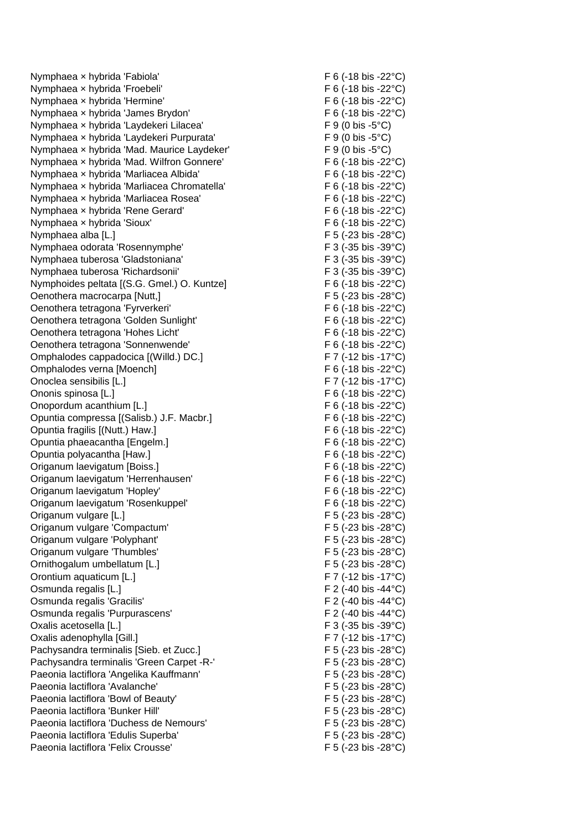Nymphaea x hybrida 'Fabiola'  $\overline{F}$  6 (-18 bis -22°C) Nymphaea x hybrida 'Froebeli' F 6 (-18 bis -22 °C) Nymphaea x hybrida 'Hermine' F 6 (-18 bis -22°C) Nymphaea x hybrida 'James Brydon' F 6 (-18 bis -22 °C) Nymphaea x hybrida 'Laydekeri Lilacea' F 9 (0 bis -5°C) Nymphaea x hybrida 'Laydekeri Purpurata' F 9 (0 bis -5°C) Nymphaea x hybrida 'Mad. Maurice Laydeker' F 9 (0 bis -5°C) Nymphaea x hybrida 'Mad. Wilfron Gonnere' Nymphaea × hybrida 'Marliacea Albida' F 6 (-18 bis -22°C) Nymphaea × hybrida 'Marliacea Chromatella' F 6 (-18 bis -22°C) Nymphaea x hybrida 'Marliacea Rosea' F 6 (-18 bis -22 °C) Nymphaea x hybrida 'Rene Gerard' F 6 (-18 bis -22°C) Nymphaea × hybrida 'Sioux' F 6 (-18 bis -22°C) Nymphaea alba [L.] F 5 (-23 bis -28°C) Nymphaea odorata 'Rosennymphe' F 3 (-35 bis -39°C) Nymphaea tuberosa 'Gladstoniana' F 3 (-35 bis -39°C) Nymphaea tuberosa 'Richardsonii' F 3 (-35 bis -39°C) Nymphoides peltata [(S.G. Gmel.) O. Kuntze] F 6 (-18 bis -22°C) Oenothera macrocarpa [Nutt,] F 5 (-23 bis -28°C) Oenothera tetragona 'Fyrverkeri' F 6 (-18 bis -22°C) Oenothera tetragona 'Golden Sunlight' F 6 (-18 bis -22°C) Oenothera tetragona 'Hohes Licht' F 6 (-18 bis -22°C) Oenothera tetragona 'Sonnenwende' F 6 (-18 bis -22°C) Omphalodes cappadocica [(Willd.) DC.] Omphalodes verna [Moench] F 6 (-18 bis -22°C) Onoclea sensibilis [L.] F 7 (-12 bis -17°C) Ononis spinosa [L.] F 6 (-18 bis -22°C) Onopordum acanthium [L.] F 6 (-18 bis -22°C) Opuntia compressa [(Salisb.) J.F. Macbr.] F 6 (-18 bis -22°C) Opuntia fragilis [(Nutt.) Haw.] F 6 (-18 bis -22°C) Opuntia phaeacantha [Engelm.] F 6 (-18 bis -22°C) Opuntia polyacantha [Haw.] F 6 (-18 bis -22°C) Origanum laevigatum [Boiss.] F 6 (-18 bis -22°C) Origanum laevigatum 'Herrenhausen' F 6 (-18 bis -22°C) Origanum laevigatum 'Hopley' F 6 (-18 bis -22°C) Origanum laevigatum 'Rosenkuppel' F 6 (-18 bis -22°C) Origanum vulgare [L.] F 5 (-23 bis -28°C) Origanum vulgare 'Compactum' F 5 (-23 bis -28°C) Origanum vulgare 'Polyphant' F 5 (-23 bis -28°C) Origanum vulgare 'Thumbles' F 5 (-23 bis -28°C) Ornithogalum umbellatum [L.] F 5 (-23 bis -28°C) Orontium aquaticum [L.] F 7 (-12 bis -17°C) Osmunda regalis [L.] F 2 (-40 bis -44 °C) Osmunda regalis 'Gracilis' F 2 (-40 bis -44°C) Osmunda regalis 'Purpurascens' F 2 (-40 bis -44°C) Oxalis acetosella [L.] F 3 (-35 bis -39°C) Oxalis adenophylla [Gill.] F 7 (-12 bis -17°C) Pachysandra terminalis [Sieb. et Zucc.] F 5 (-23 bis -28°C) Pachysandra terminalis 'Green Carpet -R-' F 5 (-23 bis -28°C) Paeonia lactiflora 'Angelika Kauffmann' F 5 (-23 bis -28°C) Paeonia lactiflora 'Avalanche'  $\overline{F}$  5 (-23 bis -28°C) Paeonia lactiflora 'Bowl of Beauty' example and the set of the F 5 (-23 bis -28°C) Paeonia lactiflora 'Bunker Hill' The Control of the Control of the F 5 (-23 bis -28°C) Paeonia lactiflora 'Duchess de Nemours' F 5 (-23 bis -28°C) Paeonia lactiflora 'Edulis Superba' F 5 (-23 bis -28°C) Paeonia lactiflora 'Felix Crousse' F 5 (-23 bis -28°C)

 $F 6$  (-18 bis -22 $^{\circ}$ C)  $F 7$  (-12 bis -17 $^{\circ}$ C)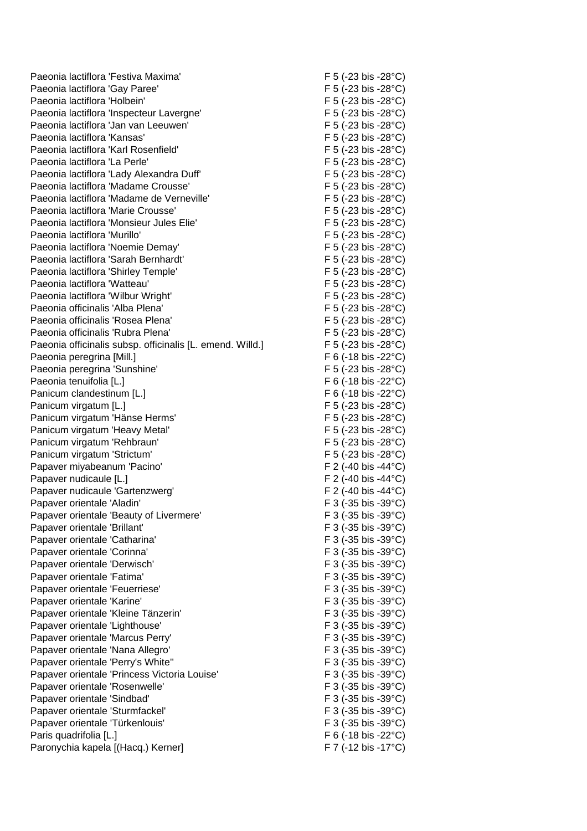Paeonia lactiflora 'Festiva Maxima' et al. (a) The Second Second Second Second Second Second Second Second Second Second Second Second Second Second Second Second Second Second Second Second Second Second Second Second Sec Paeonia lactiflora 'Gay Paree' F 5 (-23 bis -28°C) Paeonia lactiflora 'Holbein' extending the state of the F 5 (-23 bis -28°C) Paeonia lactiflora 'Inspecteur Lavergne' F 5 (-23 bis -28°C) Paeonia lactiflora 'Jan van Leeuwen' F 5 (-23 bis -28°C) Paeonia lactiflora 'Kansas' F 5 (-23 bis -28°C) Paeonia lactiflora 'Karl Rosenfield' The Control of the F 5 (-23 bis -28°C) Paeonia lactiflora 'La Perle' e controller e controller e factor de F 5 (-23 bis -28°C) Paeonia lactiflora 'Lady Alexandra Duff' F 5 (-23 bis -28°C) Paeonia lactiflora 'Madame Crousse' F 5 (-23 bis -28°C) Paeonia lactiflora 'Madame de Verneville' F 5 (-23 bis -28°C) Paeonia lactiflora 'Marie Crousse'  $F$  5 (-23 bis -28°C) Paeonia lactiflora 'Monsieur Jules Elie' entity of the Second Second F 5 (-23 bis -28°C) Paeonia lactiflora 'Murillo' F 5 (-23 bis -28°C) Paeonia lactiflora 'Noemie Demay' entitled and the second of F 5 (-23 bis -28°C) Paeonia lactiflora 'Sarah Bernhardt' F 5 (-23 bis -28°C) Paeonia lactiflora 'Shirley Temple' F 5 (-23 bis -28°C) Paeonia lactiflora 'Watteau' F 5 (-23 bis -28°C) Paeonia lactiflora 'Wilbur Wright' F 5 (-23 bis -28°C) Paeonia officinalis 'Alba Plena' entrance in the Second C-23 bis -28°C) Paeonia officinalis 'Rosea Plena' F 5 (-23 bis -28°C) Paeonia officinalis 'Rubra Plena' F 5 (-23 bis -28°C) Paeonia officinalis subsp. officinalis [L. emend. Willd.] F 5 (-23 bis -28°C) Paeonia peregrina [Mill.] **F 6 (-18 bis -22°C)** Paeonia peregrina 'Sunshine' F 5 (-23 bis -28°C) Paeonia tenuifolia [L.] F 6 (-18 bis -22°C) Panicum clandestinum [L.] F 6 (-18 bis -22°C) Panicum virgatum [L.] F 5 (-23 bis -28°C) Panicum virgatum 'Hänse Herms' F 5 (-23 bis -28°C) Panicum virgatum 'Heavy Metal' F 5 (-23 bis -28°C) Panicum virgatum 'Rehbraun' F 5 (-23 bis -28°C) Panicum virgatum 'Strictum' F 5 (-23 bis -28°C) Papaver miyabeanum 'Pacino' et al. (2008) F 2 (-40 bis -44 °C) Papaver nudicaule [L.] F 2 (-40 bis -44°C) Papaver nudicaule 'Gartenzwerg' F 2 (-40 bis -44°C) Papaver orientale 'Aladin' The Contract of the Contract of the F 3 (-35 bis -39°C) Papaver orientale 'Beauty of Livermere' F 3 (-35 bis -39°C) Papaver orientale 'Brillant' F 3 (-35 bis -39°C) Papaver orientale 'Catharina' The Contemporary Contemporary F 3 (-35 bis -39°C) Papaver orientale 'Corinna' The Corinna' F 3 (-35 bis -39°C) Papaver orientale 'Derwisch' F 3 (-35 bis -39°C) Papaver orientale 'Fatima' F 3 (-35 bis -39°C) Papaver orientale 'Feuerriese' F 3 (-35 bis -39°C) Papaver orientale 'Karine' F 3 (-35 bis -39°C) Papaver orientale 'Kleine Tänzerin' F 3 (-35 bis -39°C) Papaver orientale 'Lighthouse' F 3 (-35 bis -39 °C) Papaver orientale 'Marcus Perry' The Control of the Sepanne R 3 (-35 bis -39°C) Papaver orientale 'Nana Allegro' extending the state of the F 3 (-35 bis -39°C) Papaver orientale 'Perry's White" example and the set of the F 3 (-35 bis -39°C) Papaver orientale 'Princess Victoria Louise' F 3 (-35 bis -39°C) Papaver orientale 'Rosenwelle' F 3 (-35 bis -39°C) Papaver orientale 'Sindbad' and the state of the F 3 (-35 bis -39°C) Papaver orientale 'Sturmfackel' example and the study of F 3 (-35 bis -39°C) Papaver orientale 'Türkenlouis' F 3 (-35 bis -39°C) Paris quadrifolia [L.] F 6 (-18 bis -22°C) Paronychia kapela [(Hacq.) Kerner] F 7 (-12 bis -17°C)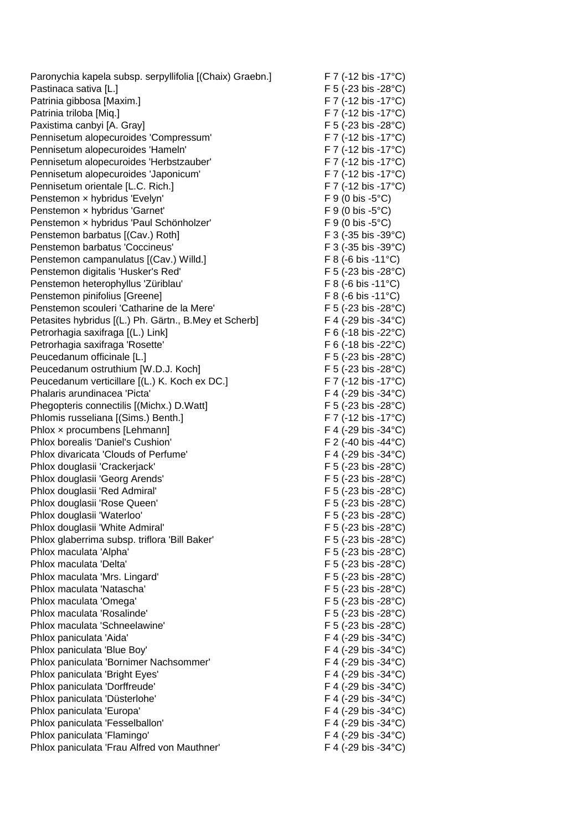Paronychia kapela subsp. serpyllifolia [(Chaix) Graebn.] F 7 (-12 bis -17°C) Pastinaca sativa [L.] F 5 (-23 bis -28°C) Patrinia gibbosa [Maxim.] F 7 (-12 bis -17°C) Patrinia triloba [Miq.] F 7 (-12 bis -17°C) Paxistima canbyi [A. Gray] The Contract Contract Contract Contract Contract Contract Contract Contract Contract Contract Contract Contract Contract Contract Contract Contract Contract Contract Contract Contract Contract Co Pennisetum alopecuroides 'Compressum' F 7 (-12 bis -17°C) Pennisetum alopecuroides 'Hameln' F 7 (-12 bis -17°C) Pennisetum alopecuroides 'Herbstzauber' F7 (-12 bis -17°C) Pennisetum alopecuroides 'Japonicum' F 7 (-12 bis -17°C) Pennisetum orientale [L.C. Rich.] F 7 (-12 bis -17°C) Penstemon x hybridus 'Evelyn' external extending the F 9 (0 bis -5°C) Penstemon x hybridus 'Garnet' F 9 (0 bis -5°C) Penstemon x hybridus 'Paul Schönholzer' F 9 (0 bis -5°C) Penstemon barbatus [(Cav.) Roth] F 3 (-35 bis -39°C) Penstemon barbatus 'Coccineus' F 3 (-35 bis -39 °C) Penstemon campanulatus [(Cav.) Willd.] F 8 (-6 bis -11°C) Penstemon digitalis 'Husker's Red' F 5 (-23 bis -28°C) Penstemon heterophyllus 'Züriblau' F 8 (-6 bis -11°C) Penstemon pinifolius [Greene] F 8 (-6 bis -11°C) Penstemon scouleri 'Catharine de la Mere' F 5 (-23 bis -28°C) Petasites hybridus [(L.) Ph. Gärtn., B.Mey et Scherb] F 4 (-29 bis -34°C) Petrorhagia saxifraga [(L.) Link] F 6 (-18 bis -22°C) Petrorhagia saxifraga 'Rosette' F 6 (-18 bis -22 °C) Peucedanum officinale [L.] F 5 (-23 bis -28°C) Peucedanum ostruthium [W.D.J. Koch] F 5 (-23 bis -28°C) Peucedanum verticillare [(L.) K. Koch ex DC.] F 7 (-12 bis -17°C) Phalaris arundinacea 'Picta' F 4 (-29 bis -34°C) Phegopteris connectilis [(Michx.) D.Watt] F 5 (-23 bis -28°C) Phlomis russeliana [(Sims.) Benth.] F 7 (-12 bis -17°C) Phlox x procumbens [Lehmann] F 4 (-29 bis -34°C) Phlox borealis 'Daniel's Cushion' F 2 (-40 bis -44°C) Phlox divaricata 'Clouds of Perfume' F 4 (-29 bis -34°C) Phlox douglasii 'Crackerjack' F 5 (-23 bis -28°C) Phlox douglasii 'Georg Arends' extending the state of F 5 (-23 bis -28°C) Phlox douglasii 'Red Admiral' F 5 (-23 bis -28°C) Phlox douglasii 'Rose Queen' extends the state of the F 5 (-23 bis -28°C) Phlox douglasii 'Waterloo' F 5 (-23 bis -28°C) Phlox douglasii 'White Admiral' example and the set of the F 5 (-23 bis -28°C) Phlox glaberrima subsp. triflora 'Bill Baker' F 5 (-23 bis -28°C) Phlox maculata 'Alpha' F 5 (-23 bis -28°C) Phlox maculata 'Delta'  $F$  5 (-23 bis -28°C) Phlox maculata 'Mrs. Lingard' example and the set of the F 5 (-23 bis -28°C) Phlox maculata 'Natascha' F 5 (-23 bis -28°C) Phlox maculata 'Omega' F 5 (-23 bis -28°C) Phlox maculata 'Rosalinde' F 5 (-23 bis -28°C) Phlox maculata 'Schneelawine' F 5 (-23 bis -28°C) Phlox paniculata 'Aida'  $\overline{P}$  F 4 (-29 bis -34°C) Phlox paniculata 'Blue Boy' F 4 (-29 bis -34°C) Phlox paniculata 'Bornimer Nachsommer' F 4 (-29 bis -34°C) Phlox paniculata 'Bright Eyes' F 4 (-29 bis -34°C) Phlox paniculata 'Dorffreude' exercise to the exercise of the F 4 (-29 bis -34°C) Phlox paniculata 'Düsterlohe' F 4 (-29 bis -34°C) Phlox paniculata 'Europa' The Contract of the Contract of the F 4 (-29 bis -34°C) Phlox paniculata 'Fesselballon' Equation F 4 (-29 bis -34°C) Phlox paniculata 'Flamingo' F 4 (-29 bis -34°C) Phlox paniculata 'Frau Alfred von Mauthner' F 4 (-29 bis -34°C)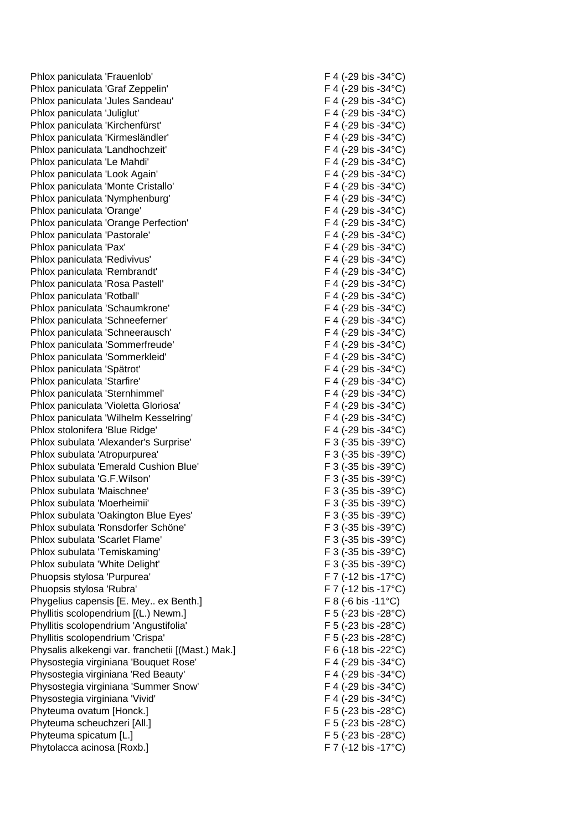Phlox paniculata 'Frauenlob' F 4 (-29 bis -34°C) Phlox paniculata 'Graf Zeppelin' F 4 (-29 bis -34°C) Phlox paniculata 'Jules Sandeau' F 4 (-29 bis -34°C) Phlox paniculata 'Juliglut' F 4 (-29 bis -34 °C) Phlox paniculata 'Kirchenfürst' F 4 (-29 bis -34°C) Phlox paniculata 'Kirmesländler' F 4 (-29 bis -34°C) Phlox paniculata 'Landhochzeit'  $F(4 \cdot 29)$  bis -34°C) Phlox paniculata 'Le Mahdi' F 4 (-29 bis -34°C) Phlox paniculata 'Look Again' The Control of the F 4 (-29 bis -34°C) Phlox paniculata 'Monte Cristallo' entrance in the F4 (-29 bis -34°C) Phlox paniculata 'Nymphenburg' example the state of F 4 (-29 bis -34°C) Phlox paniculata 'Orange' F 4 (-29 bis -34°C) Phlox paniculata 'Orange Perfection' F 4 (-29 bis -34°C) Phlox paniculata 'Pastorale' expansion of the F 4 (-29 bis -34°C) Phlox paniculata 'Pax' F 4 (-29 bis -34°C) Phlox paniculata 'Redivivus' F 4 (-29 bis -34°C) Phlox paniculata 'Rembrandt' F 4 (-29 bis -34°C) Phlox paniculata 'Rosa Pastell' F 4 (-29 bis -34°C) Phlox paniculata 'Rotball' The Contract of the F 4 (-29 bis -34°C) Phlox paniculata 'Schaumkrone' F 4 (-29 bis -34°C) Phlox paniculata 'Schneeferner' F 4 (-29 bis -34°C) Phlox paniculata 'Schneerausch' F 4 (-29 bis -34°C) Phlox paniculata 'Sommerfreude' F 4 (-29 bis -34°C) Phlox paniculata 'Sommerkleid' F 4 (-29 bis -34°C) Phlox paniculata 'Spätrot' F 4 (-29 bis -34°C) Phlox paniculata 'Starfire' F 4 (-29 bis -34°C) Phlox paniculata 'Sternhimmel' F 4 (-29 bis -34°C) Phlox paniculata 'Violetta Gloriosa' F 4 (-29 bis -34°C) Phlox paniculata ' Wilhelm Kesselring' F 4 (-29 bis -34°C) Phlox stolonifera 'Blue Ridge' F 4 (-29 bis -34°C) Phlox subulata 'Alexander's Surprise' F 3 (-35 bis -39°C) Phlox subulata 'Atropurpurea' F 3 (-35 bis -39°C) Phlox subulata 'Emerald Cushion Blue' F 3 (-35 bis -39°C) Phlox subulata 'G.F. Phlox subulata 'Maischnee' F 3 (-35 bis -39°C) Phlox subulata 'Moerheimii'  $F_3$  (-35 bis -39°C) Phlox subulata 'Oakington Blue Eyes' F 3 (-35 bis -39°C) Phlox subulata 'Ronsdorfer Schöne' F 3 (-35 bis -39°C) Phlox subulata 'Scarlet Flame' F 3 (-35 bis -39°C) Phlox subulata 'Temiskaming' example and the state of F 3 (-35 bis -39°C) Phlox subulata 'White Delight' F 3 (-35 bis -39°C) Phuopsis stylosa 'Purpurea' F 7 (-12 bis -17°C) Phuopsis stylosa 'Rubra' F 7 (-12 bis -17°C) Phygelius capensis IE. Mey.. ex Benth.] F 8 (-6 bis -11°C) Phyllitis scolopendrium [(L.) Newm.] F 5 (-23 bis -28°C) Phyllitis scolopendrium 'Angustifolia' F 5 (-23 bis -28°C) Phyllitis scolopendrium 'Crispa' F 5 (-23 bis -28°C) Physalis alkekengi var. franchetii [(Mast.) Mak.] F 6 (-18 bis -22°C) Physostegia virginiana 'Bouquet Rose' F 4 (-29 bis -34°C) Physostegia virginiana 'Red Beauty' F 4 (-29 bis -34°C) Physostegia virginiana 'Summer Snow' F 4 (-29 bis -34°C) Physostegia virginiana 'Vivid' et al. (29 bis -34°C) Phyteuma ovatum [Honck.] F 5 (-23 bis -28°C) Phyteuma scheuchzeri [All.] F 5 (-23 bis -28°C) Phyteuma spicatum [L.] **Example 28°C**) **F** 5 (-23 bis -28°C) Phytolacca acinosa [Roxb.] F 7 (-12 bis -17°C)

 $F$  3 (-35 bis -39 $^{\circ}$ C)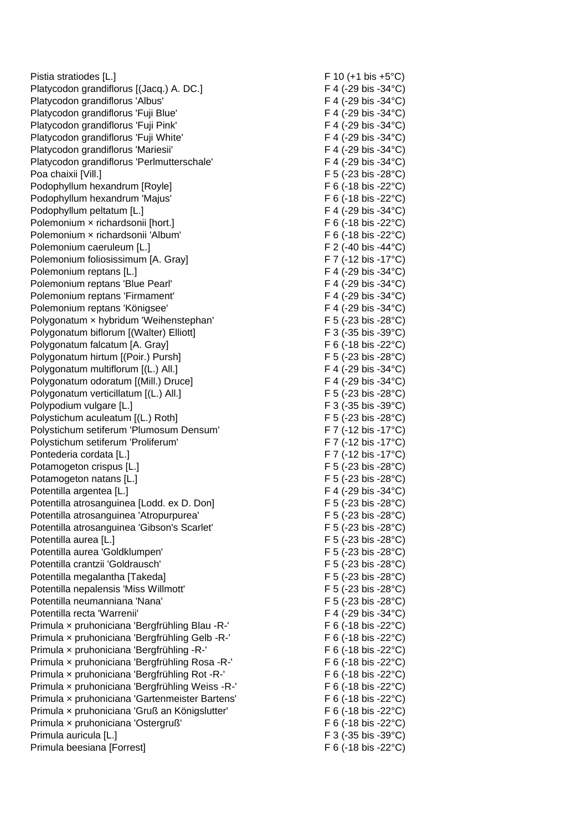Pistia stratiodes [L.] F 10 (+1 bis +5°C) Platycodon grandiflorus [(Jacq.) A. DC.] F 4 (-29 bis -34°C) Platycodon grandiflorus 'Albus' F 4 (-29 bis -34°C) Platycodon grandiflorus 'Fuji Blue' F 4 (-29 bis -34°C) Platycodon grandiflorus 'Fuji Pink' F 4 (-29 bis -34°C) Platycodon grandiflorus 'Fuji White' F 4 (-29 bis -34 °C) Platycodon grandiflorus 'Mariesii' F 4 (-29 bis -34°C) Platycodon grandiflorus 'Perlmutterschale' F 4 (-29 bis -34°C) Poa chaixii [Vill.] F 5 (-23 bis -28°C) Podophyllum hexandrum [Royle] F 6 (-18 bis -22 °C) Podophyllum hexandrum 'Majus'  $\overline{F}$  6 (-18 bis -22°C) Podophyllum peltatum [L.] F 4 (-29 bis -34°C) Polemonium × richardsonii [hort.] F 6 (-18 bis -22°C) Polemonium x richardsonii 'Album'  $F_6$  (-18 bis -22°C) Polemonium caeruleum [L.] F 2 (-40 bis -44°C) Polemonium foliosissimum [A. Gray] F 7 (-12 bis -17°C) Polemonium reptans [L.] F 4 (-29 bis -34°C) Polemonium reptans 'Blue Pearl' F 4 (-29 bis -34°C) Polemonium reptans 'Firmament' F 4 (-29 bis -34°C) Polemonium reptans 'Königsee' F 4 (-29 bis -34°C) Polygonatum × hybridum 'Weihenstephan' F 5 (-23 bis -28°C) Polygonatum biflorum [(Walter) Elliott] F 3 (-35 bis -39°C) Polygonatum falcatum [A. Gray] F 6 (-18 bis -22 °C) Polygonatum hirtum [(Poir.) Pursh] F 5 (-23 bis -28°C) Polygonatum multiflorum [(L.) All.] F 4 (-29 bis -34°C) Polygonatum odoratum [(Mill.) Druce] F 4 (-29 bis -34°C) Polygonatum verticillatum [(L.) All.] F 5 (-23 bis -28°C) Polypodium vulgare [L.] F 3 (-35 bis -39°C) Polystichum aculeatum [(L.) Roth] F 5 (-23 bis -28°C) Polystichum setiferum 'Plumosum Densum' F 7 (-12 bis -17°C) Polystichum setiferum 'Proliferum' F 7 (-12 bis -17°C) Pontederia cordata [L.] F 7 (-12 bis -17°C) Potamogeton crispus [L.] F 5 (-23 bis -28°C) Potamogeton natans [L.] F 5 (-23 bis -28°C) Potentilla argentea [L.] F 4 (-29 bis -34°C) Potentilla atrosanguinea [Lodd. ex D. Don] F 5 (-23 bis -28°C) Potentilla atrosanguinea 'Atropurpurea' F 5 (-23 bis -28°C) Potentilla atrosanguinea 'Gibson's Scarlet' F 5 (-23 bis -28°C) Potentilla aurea [L.] F 5 (-23 bis -28°C) Potentilla aurea 'Goldklumpen' F 5 (-23 bis -28°C) Potentilla crantzii 'Goldrausch' F 5 (-23 bis -28°C) Potentilla megalantha [Takeda] F 5 (-23 bis -28°C) Potentilla nepalensis 'Miss Potentilla neumanniana 'Nana' entre entre entre entre entre F 5 (-23 bis -28°C) Potentilla recta 'Warrenii'  $FA(29)$  bis -34°C) Primula × pruhoniciana 'Bergfrühling Blau -R-' F 6 (-18 bis -22°C) Primula × pruhoniciana 'Bergfrühling Gelb -R-' F 6 (-18 bis -22°C) Primula × pruhoniciana 'Bergfrühling -R-' F 6 (-18 bis -22°C) Primula × pruhoniciana 'Bergfrühling Rosa -R-' F 6 (-18 bis -22°C) Primula x pruhoniciana 'Bergfrühling Rot -R-' F 6 (-18 bis -22°C) Primula x pruhoniciana 'Bergfrühling Weiss -R-' F 6 (-18 bis -22 °C) Primula × pruhoniciana 'Gartenmeister Bartens' F 6 (-18 bis -22°C) Primula x pruhoniciana 'Gruß an Königslutter' F 6 (-18 bis -22 °C) Primula × pruhoniciana 'Ostergruß' F 6 (-18 bis -22°C) Primula auricula [L.] F 3 (-35 bis -39°C) Primula beesiana [Forrest] F 6 (-18 bis -22°C)

F 5 (-23 bis -28 $^{\circ}$ C)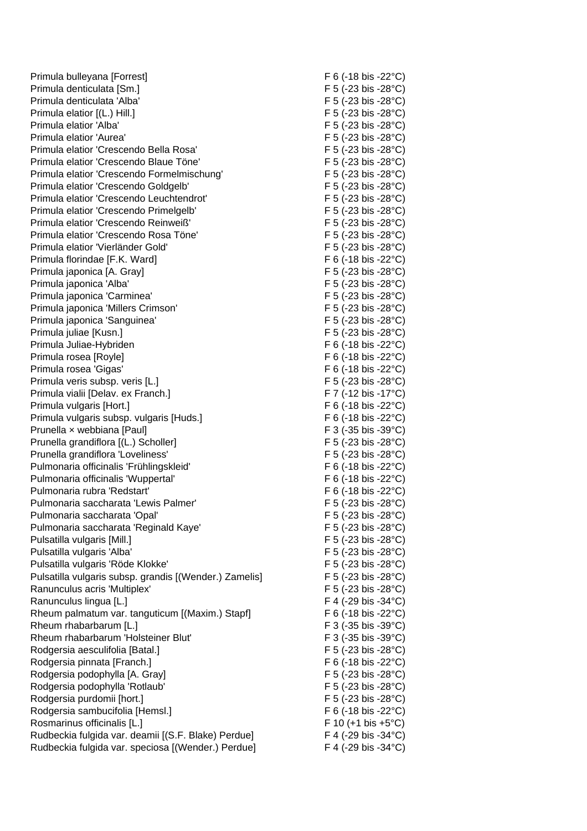Primula bulleyana [Forrest] F 6 (-18 bis -22°C) Primula denticulata [Sm.] F 5 (-23 bis -28°C) Primula denticulata 'Alba' F 5 (-23 bis -28°C) Primula elatior  $[(L.) Hill.]$  F 5 (-23 bis -28°C) Primula elatior 'Alba' F 5 (-23 bis -28°C) Primula elatior 'Aurea' F 5 (-23 bis -28°C) Primula elatior 'Crescendo Bella Rosa' F 5 (-23 bis -28°C) Primula elatior 'Crescendo Blaue Töne' F 5 (-23 bis -28°C) Primula elatior 'Crescendo Formelmischung' F 5 (-23 bis -28°C) Primula elatior 'Crescendo Goldgelb' F 5 (-23 bis -28°C) Primula elatior 'Crescendo Leuchtendrot' F 5 (-23 bis -28°C) Primula elatior 'Crescendo Primelgelb' F 5 (-23 bis -28°C) Primula elatior 'Crescendo Reinweiß' F 5 (-23 bis -28°C) Primula elatior 'Crescendo Rosa Töne' F5 (-23 bis -28°C) Primula elatior 'Vierländer Gold' F 5 (-23 bis -28°C) Primula florindae [F.K. Ward] F 6 (-18 bis -22 °C) Primula japonica [A. Gray] F 5 (-23 bis -28°C) Primula japonica 'Alba' F 5 (-23 bis -28°C) Primula japonica 'Carminea' F 5 (-23 bis -28°C) Primula japonica 'Millers Crimson' F 5 (-23 bis -28°C) Primula japonica 'Sanguinea' F 5 (-23 bis -28°C) Primula juliae [Kusn.] F 5 (-23 bis -28°C) Primula Juliae-Hybriden F 6 (-18 bis -22°C) Primula rosea [Royle] The contract of the contract of the F 6 (-18 bis -22°C) Primula rosea 'Gigas' F 6 (-18 bis -22°C) Primula veris subsp. veris [L.] F 5 (-23 bis -28°C) Primula vialii [Delav. ex Franch.] F 7 (-12 bis -17°C) Primula vulgaris [Hort.] F 6 (-18 bis -22°C) Primula vulgaris subsp. vulgaris [Huds.] F 6 (-18 bis -22°C) Prunella x webbiana [Paul] F 3 (-35 bis -39°C) Prunella grandiflora [(L.) Scholler] F 5 (-23 bis -28°C) Prunella grandiflora 'Loveliness' F 5 (-23 bis -28°C) Pulmonaria officinalis 'Frühlingskleid' F6 (-18 bis -22°C) Pulmonaria officinalis 'Wuppertal' example the state of the F 6 (-18 bis -22°C) Pulmonaria rubra 'Redstart' F 6 (-18 bis -22°C) Pulmonaria saccharata 'Lewis Palmer' F 5 (-23 bis -28°C) Pulmonaria saccharata 'Opal' F 5 (-23 bis -28°C) Pulmonaria saccharata 'Reginald Kaye' F 5 (-23 bis -28°C) Pulsatilla vulgaris [Mill.] F 5 (-23 bis -28°C) Pulsatilla vulgaris 'Alba' F 5 (-23 bis -28°C) Pulsatilla vulgaris 'Röde Klokke' F 5 (-23 bis -28°C) Pulsatilla vulgaris subsp. grandis [(Wender.) Zamelis] F 5 (-23 bis -28°C) Ranunculus acris 'Multiplex' F 5 (-23 bis -28°C) Ranunculus lingua [L.] F 4 (-29 bis -34°C) Rheum palmatum var. tanguticum [(Maxim.) Stapf] F 6 (-18 bis -22°C) Rheum rhabarbarum [L.] F 3 (-35 bis -39°C) Rheum rhabarbarum 'Holsteiner Blut' F 3 (-35 bis -39°C) Rodgersia aesculifolia [Batal.] F 5 (-23 bis -28°C) Rodgersia pinnata [Franch.] F 6 (-18 bis -22°C) Rodgersia podophylla [A. Gray] F 5 (-23 bis -28°C) Rodgersia podophylla 'Rotlaub' F 5 (-23 bis -28°C) Rodgersia purdomii [hort.] F 5 (-23 bis -28°C) Rodgersia sambucifolia [Hemsl.] F 6 (-18 bis -22 °C) Rosmarinus officinalis [L.]  $F = 10 (+1 \text{ bis } +5^{\circ} \text{C})$ Rudbeckia fulgida var. deamii [(S.F. Blake) Perdue] F 4 (-29 bis -34°C) Rudbeckia fulgida var. speciosa [(Wender.) Perdue] F 4 (-29 bis -34°C)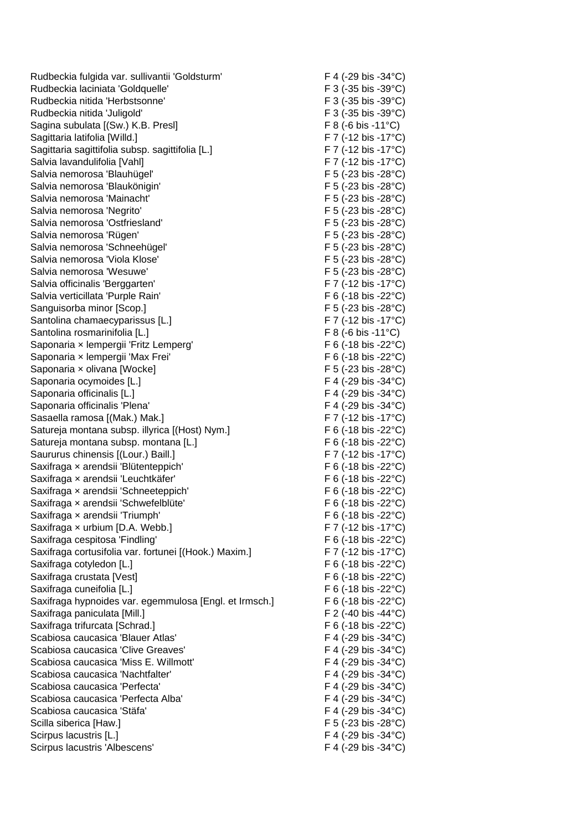Rudbeckia fulgida var. sullivantii 'Goldsturm' F 4 (-29 bis -34°C) Rudbeckia laciniata 'Goldquelle' F 3 (-35 bis -39°C) Rudbeckia nitida 'Herbstsonne' F 3 (-35 bis -39°C) Rudbeckia nitida 'Juligold' (F 3 (-35 bis -39 °C) Sagina subulata [(Sw.) K.B. Presl] F 8 (-6 bis -11°C) Sagittaria latifolia [Willd.] F 7 (-12 bis -17°C) Sagittaria sagittifolia subsp. sagittifolia [L.] F 7 (-12 bis -17°C) Salvia lavandulifolia [Vahl] F 7 (-12 bis -17°C) Salvia nemorosa 'Blauhügel' F 5 (-23 bis -28°C) Salvia nemorosa 'Blaukönigin' F 5 (-23 bis -28°C) Salvia nemorosa 'Mainacht' F 5 (-23 bis -28°C) Salvia nemorosa 'Negrito'  $F 5 (-23 \text{ bis } -28^{\circ} \text{C})$ Salvia nemorosa 'Ostfriesland' entry the state of the F 5 (-23 bis -28°C) Salvia nemorosa 'Rügen' F 5 (-23 bis -28°C) Salvia nemorosa 'Schneehügel' F 5 (-23 bis -28°C) Salvia nemorosa 'Viola Klose'  $F 5 (-23 \text{ bis } -28^{\circ} \text{C})$ Salvia nemorosa 'Wesuwe' F 5 (-23 bis -28°C) Salvia officinalis 'Berggarten' E 7 (-12 bis -17°C) Salvia verticillata 'Purple Rain' extending the state of the F 6 (-18 bis -22°C) Sanguisorba minor [Scop.] F 5 (-23 bis -28°C) Santolina chamaecyparissus [L.] F 7 (-12 bis -17°C) Santolina rosmarinifolia [L.] F 8 (-6 bis -11°C) Saponaria x lempergii 'Fritz Lemperg' F6 (-18 bis -22 °C) Saponaria × lempergii 'Max Frei' F 6 (-18 bis -22°C) Saponaria x olivana [Wocke] F 5 (-23 bis -28°C) Saponaria ocymoides [L.] Saponaria ocymoides [L.] F 4 (-29 bis -34°C) Saponaria officinalis [L.] Saponaria officinalis [L.] Saponaria officinalis 'Plena' F 4 (-29 bis -34°C) Sasaella ramosa [(Mak.) Mak.] F 7 (-12 bis -17°C) Satureja montana subsp. illyrica [(Host) Nym.] F 6 (-18 bis -22°C) Satureja montana subsp. montana [L.] F 6 (-18 bis -22 °C) Saururus chinensis [(Lour.) Baill.] F 7 (-12 bis -17°C) Saxifraga x arendsii 'Blütenteppich' F 6 (-18 bis -22 °C) Saxifraga x arendsii 'Leuchtkäfer' etter is a state of the F 6 (-18 bis -22°C) Saxifraga x arendsii 'Schneeteppich' F 6 (-18 bis -22°C) Saxifraga x arendsii 'Schwefelblüte'  $\overline{F}$  6 (-18 bis -22 °C) Saxifraga x arendsii 'Triumph'  $F_6$  (-18 bis -22 °C) Saxifraga x urbium [D.A. Webb.] F 7 (-12 bis -17°C) Saxifraga cespitosa 'Findling' F 6 (-18 bis -22°C) Saxifraga cortusifolia var. fortunei [(Hook.) Maxim.] F 7 (-12 bis -17°C) Saxifraga cotyledon [L.] F 6 (-18 bis -22 °C) Saxifraga crustata [Vest] The Contract of the Saxifraga crustata [Vest] The Contract of the Saxifraga crustate  $\overline{F}$  6 (-18 bis -22°C) Saxifraga cuneifolia [L.] F 6 (-18 bis -22°C) Saxifraga hypnoides var. egemmulosa [Engl. et Irmsch.] F 6 (-18 bis -22°C) Saxifraga paniculata [Mill.] F 2 (-40 bis -44°C) Saxifraga trifurcata [Schrad.] F 6 (-18 bis -22 °C) Scabiosa caucasica 'Blauer Atlas' F 4 (-29 bis -34°C) Scabiosa caucasica 'Clive Greaves' F 4 (-29 bis -34°C) Scabiosa caucasica 'Miss E. Willmott' F 4 (-29 bis -34°C) Scabiosa caucasica 'Nachtfalter' F 4 (-29 bis -34°C) Scabiosa caucasica 'Perfecta'  $F \cdot 4 (-29)$  bis -34°C) Scabiosa caucasica 'Perfecta Alba' F 4 (-29 bis -34°C) Scabiosa caucasica 'Stäfa' F 4 (-29 bis -34°C) Scilla siberica [Haw.] F 5 (-23 bis -28°C) Scirpus lacustris [L.] F 4 (-29 bis -34°C) Scirpus lacustris 'Albescens' F 4 (-29 bis -34°C)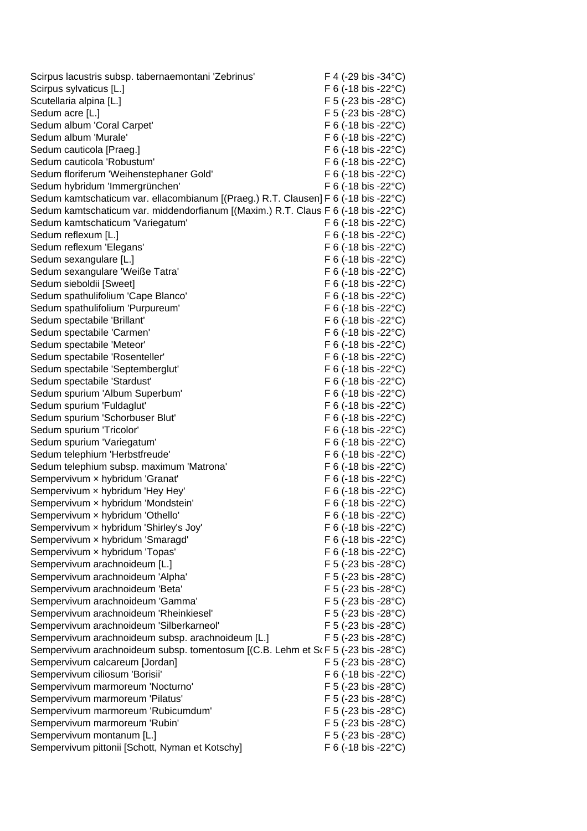| Scirpus lacustris subsp. tabernaemontani 'Zebrinus'                                |  | F 4 (-29 bis -34°C)                           |
|------------------------------------------------------------------------------------|--|-----------------------------------------------|
| Scirpus sylvaticus [L.]                                                            |  | F 6 (-18 bis -22 $^{\circ}$ C)                |
| Scutellaria alpina [L.]                                                            |  | F 5 (-23 bis -28°C)                           |
| Sedum acre [L.]                                                                    |  | F 5 (-23 bis -28°C)                           |
| Sedum album 'Coral Carpet'                                                         |  | $F 6$ (-18 bis -22 $^{\circ}$ C)              |
| Sedum album 'Murale'                                                               |  | $F 6$ (-18 bis -22 $^{\circ}$ C)              |
| Sedum cauticola [Praeg.]                                                           |  | F 6 (-18 bis -22 $^{\circ}$ C)                |
| Sedum cauticola 'Robustum'                                                         |  | F 6 (-18 bis -22 $^{\circ}$ C)                |
| Sedum floriferum 'Weihenstephaner Gold'                                            |  | F 6 (-18 bis -22 $^{\circ}$ C)                |
| Sedum hybridum 'Immergrünchen'                                                     |  | F 6 (-18 bis -22 $^{\circ}$ C)                |
| Sedum kamtschaticum var. ellacombianum [(Praeg.) R.T. Clausen] F 6 (-18 bis -22°C) |  |                                               |
| Sedum kamtschaticum var. middendorfianum [(Maxim.) R.T. Claus F 6 (-18 bis -22°C)  |  |                                               |
| Sedum kamtschaticum 'Variegatum'                                                   |  | F 6 (-18 bis -22 $^{\circ}$ C)                |
| Sedum reflexum [L.]                                                                |  | F 6 (-18 bis -22 $^{\circ}$ C)                |
| Sedum reflexum 'Elegans'                                                           |  | F 6 (-18 bis -22 $^{\circ}$ C)                |
| Sedum sexangulare [L.]                                                             |  | F 6 (-18 bis -22 $^{\circ}$ C)                |
| Sedum sexangulare 'Weiße Tatra'                                                    |  | F 6 (-18 bis -22 $^{\circ}$ C)                |
| Sedum sieboldii [Sweet]                                                            |  | F 6 (-18 bis -22 $^{\circ}$ C)                |
| Sedum spathulifolium 'Cape Blanco'                                                 |  | $F 6$ (-18 bis -22 $^{\circ}$ C)              |
| Sedum spathulifolium 'Purpureum'                                                   |  | F 6 (-18 bis -22 $^{\circ}$ C)                |
| Sedum spectabile 'Brillant'                                                        |  | $F$ 6 (-18 bis -22 $^{\circ}$ C)              |
| Sedum spectabile 'Carmen'                                                          |  | F 6 (-18 bis -22 $^{\circ}$ C)                |
| Sedum spectabile 'Meteor'                                                          |  | F 6 (-18 bis -22 $^{\circ}$ C)                |
| Sedum spectabile 'Rosenteller'                                                     |  | F 6 (-18 bis -22 $^{\circ}$ C)                |
| Sedum spectabile 'Septemberglut'                                                   |  | F 6 (-18 bis -22 $^{\circ}$ C)                |
| Sedum spectabile 'Stardust'                                                        |  | F 6 (-18 bis -22 $^{\circ}$ C)                |
| Sedum spurium 'Album Superbum'                                                     |  | F 6 (-18 bis -22 $^{\circ}$ C)                |
| Sedum spurium 'Fuldaglut'                                                          |  | F 6 (-18 bis -22 $^{\circ}$ C)                |
| Sedum spurium 'Schorbuser Blut'                                                    |  | F 6 (-18 bis -22 $^{\circ}$ C)                |
| Sedum spurium 'Tricolor'                                                           |  | F 6 (-18 bis -22 $^{\circ}$ C)                |
| Sedum spurium 'Variegatum'                                                         |  | F 6 (-18 bis -22 $^{\circ}$ C)                |
| Sedum telephium 'Herbstfreude'                                                     |  | F 6 (-18 bis -22 $^{\circ}$ C)                |
| Sedum telephium subsp. maximum 'Matrona'                                           |  | F 6 (-18 bis -22 $^{\circ}$ C)                |
| Sempervivum x hybridum 'Granat'                                                    |  | F 6 (-18 bis -22 $^{\circ}$ C)                |
| Sempervivum x hybridum 'Hey Hey'                                                   |  | F 6 (-18 bis -22°C)                           |
| Sempervivum x hybridum 'Mondstein'                                                 |  | F 6 (-18 bis -22°C)                           |
| Sempervivum x hybridum 'Othello'                                                   |  | F 6 (-18 bis -22°C)                           |
| Sempervivum x hybridum 'Shirley's Joy'                                             |  | $F 6$ (-18 bis -22 $^{\circ}$ C)              |
| Sempervivum x hybridum 'Smaragd'                                                   |  | F 6 (-18 bis -22 $^{\circ}$ C)                |
| Sempervivum x hybridum 'Topas'                                                     |  | F 6 (-18 bis -22 $^{\circ}$ C)                |
| Sempervivum arachnoideum [L.]                                                      |  | F 5 (-23 bis -28 $^{\circ}$ C)                |
| Sempervivum arachnoideum 'Alpha'                                                   |  | $F$ 5 (-23 bis -28 $^{\circ}$ C)              |
| Sempervivum arachnoideum 'Beta'                                                    |  | $F$ 5 (-23 bis -28 $^{\circ}$ C)              |
| Sempervivum arachnoideum 'Gamma'                                                   |  | F 5 (-23 bis -28 $^{\circ}$ C)                |
| Sempervivum arachnoideum 'Rheinkiesel'                                             |  | F 5 (-23 bis -28°C)                           |
| Sempervivum arachnoideum 'Silberkarneol'                                           |  | F 5 (-23 bis -28°C)                           |
| Sempervivum arachnoideum subsp. arachnoideum [L.]                                  |  | $F$ 5 (-23 bis -28 $^{\circ}$ C)              |
| Sempervivum arachnoideum subsp. tomentosum [(C.B. Lehm et S(F 5 (-23 bis -28°C)    |  |                                               |
| Sempervivum calcareum [Jordan]                                                     |  | F 5 (-23 bis -28°C)                           |
| Sempervivum ciliosum 'Borisii'                                                     |  | $F 6$ (-18 bis -22 $^{\circ}$ C)              |
| Sempervivum marmoreum 'Nocturno'                                                   |  | $F$ 5 (-23 bis -28 $^{\circ}$ C)              |
| Sempervivum marmoreum 'Pilatus'                                                    |  | $F$ 5 (-23 bis -28 $^{\circ}$ C)              |
| Sempervivum marmoreum 'Rubicumdum'                                                 |  | F 5 (-23 bis -28°C)                           |
| Sempervivum marmoreum 'Rubin'                                                      |  | F 5 (-23 bis -28 $^{\circ}$ C)                |
| Sempervivum montanum [L.]                                                          |  | F 5 (-23 bis -28 $^{\circ}$ C)                |
| Sempervivum pittonii [Schott, Nyman et Kotschy]                                    |  | $F 6 (-18 \text{ bis } -22^{\circ} \text{C})$ |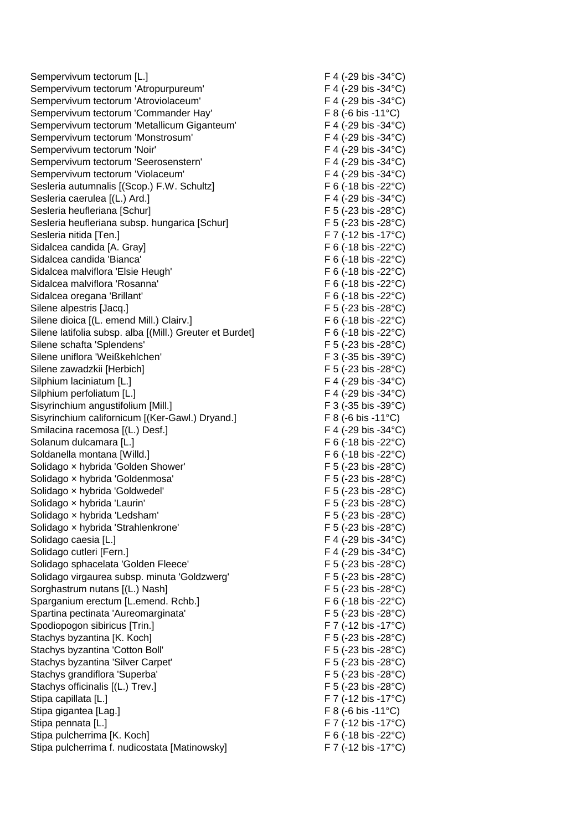Sempervivum tectorum [L.] F 4 (-29 bis -34°C) Sempervivum tectorum 'Atropurpureum' F 4 (-29 bis -34°C) Sempervivum tectorum 'Atroviolaceum' F 4 (-29 bis -34°C) Sempervivum tectorum 'Commander Hay' F 8 (-6 bis -11°C) Sempervivum tectorum 'Metallicum Giganteum' F 4 (-29 bis -34°C) Sempervivum tectorum 'Monstrosum' F 4 (-29 bis -34°C) Sempervivum tectorum 'Noir' F 4 (-29 bis -34°C) Sempervivum tectorum 'Seerosenstern' F 4 (-29 bis -34°C) Sempervivum tectorum 'Violaceum' F 4 (-29 bis -34°C) Sesleria autumnalis [(Scop.) F.W. Schultz] F 6 (-18 bis -22 °C) Sesleria caerulea [(L.) Ard.] F 4 (-29 bis -34°C) Sesleria heufleriana [Schur] F 5 (-23 bis -28°C) Sesleria heufleriana subsp. hungarica [Schur] F 5 (-23 bis -28°C) Sesleria nitida [Ten.] F 7 (-12 bis -17°C) Sidalcea candida [A. Gray] The Contract Contract Contract Contract Contract Contract Contract Contract Contract Contract Contract Contract Contract Contract Contract Contract Contract Contract Contract Contract Contract Co Sidalcea candida 'Bianca'  $F 6 (-18 \text{ bis } -22^{\circ} \text{C})$ Sidalcea malviflora 'Elsie Heugh' F 6 (-18 bis -22 °C) Sidalcea malviflora 'Rosanna' F 6 (-18 bis -22°C) Sidalcea oregana 'Brillant'  $F 6 (-18 \text{ bis } -22^{\circ} \text{C})$ Silene alpestris [Jacq.] Silene alpestris [Jacq.] Silene dioica [(L. emend Mill.) Clairv.] The state of the state of F 6 (-18 bis -22°C) Silene latifolia subsp. alba [(Mill.) Greuter et Burdet] F 6 (-18 bis -22°C) Silene schafta 'Splendens' F 5 (-23 bis -28°C) Silene uniflora 'Weißkehlchen' F 3 (-35 bis -39°C) Silene zawadzkii [Herbich] F 5 (-23 bis -28°C) Silphium laciniatum [L.] F 4 (-29 bis -34°C) Silphium perfoliatum [L.] F 4 (-29 bis -34°C) Sisyrinchium angustifolium [Mill.] F 3 (-35 bis -39°C) Sisyrinchium californicum [(Ker-Gawl.) Dryand.] F 8 (-6 bis -11°C) Smilacina racemosa [(L.) Desf.] F 4 (-29 bis -34°C) Solanum dulcamara [L.] Solanum dulcamara [L.] Soldanella montana [Willd.] F 6 (-18 bis -22°C) Solidago x hybrida 'Golden Shower' F 5 (-23 bis -28°C) Solidago x hybrida 'Goldenmosa' F 5 (-23 bis -28°C) Solidago x hybrida 'Goldwedel' F 5 (-23 bis -28°C) Solidago x hybrida 'Laurin'  $F = 5 (-23 \text{ bis } -28^{\circ} \text{C})$ Solidago x hybrida 'Ledsham' external states of the F 5 (-23 bis -28°C) Solidago x hybrida 'Strahlenkrone'  $F$  5 (-23 bis -28°C) Solidago caesia [L.] Solidago caesia [L.] F 4 (-29 bis -34°C) Solidago cutleri [Fern.] F 4 (-29 bis -34°C) Solidago sphacelata 'Golden Fleece' F 5 (-23 bis -28°C) Solidago virgaurea subsp. minuta 'Goldzwerg' F 5 (-23 bis -28°C) Sorghastrum nutans [(L.) Nash] F 5 (-23 bis -28°C) Sparganium erectum [L.emend. Rchb.] F 6 (-18 bis -22°C) Spartina pectinata 'Aureomarginata' F 5 (-23 bis -28°C) Spodiopogon sibiricus [Trin.] F 7 (-12 bis -17°C) Stachys byzantina [K. Koch] F 5 (-23 bis -28°C) Stachys byzantina 'Cotton Boll' F 5 (-23 bis -28°C) Stachys byzantina 'Silver Carpet' F 5 (-23 bis -28°C) Stachys grandiflora 'Superba' F 5 (-23 bis -28°C) Stachys officinalis  $[(L.)$  Trev.] F 5 (-23 bis -28°C) Stipa capillata [L.] F 7 (-12 bis -17°C) Stipa gigantea [Lag.] F 8 (-6 bis -11<sup>°</sup>C) Stipa pennata [L.] Stipa pennata [L.] Stipa pennata [L.] Stipa pennata [L.] Stipa pennata [L.] Stipa pennata  $\text{F} \times \text{F} \times \text{F} \times \text{F} \times \text{F} \times \text{F} \times \text{F} \times \text{F} \times \text{F} \times \text{F} \times \text{F} \times \text{F} \times \text{F} \times \text{F} \times \text{F} \times \text{F} \times$ Stipa pulcherrima [K. Koch] F 6 (-18 bis -22°C) Stipa pulcherrima f. nudicostata [Matinowsky] F 7 (-12 bis -17°C)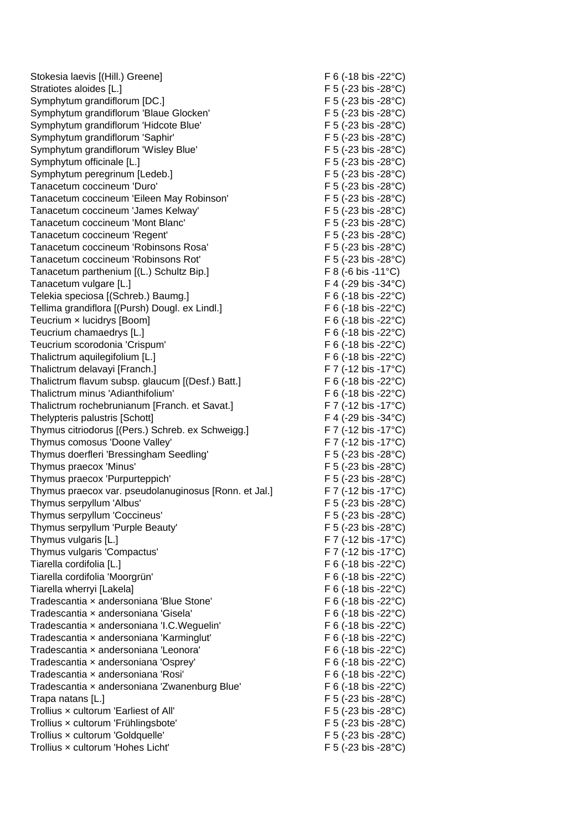Stokesia laevis [(Hill.) Greene] F 6 (-18 bis -22°C) Stratiotes aloides [L.] F 5 (-23 bis -28°C) Symphytum grandiflorum [DC.] F 5 (-23 bis -28°C) Symphytum grandiflorum 'Blaue Glocken' F 5 (-23 bis -28°C) Symphytum grandiflorum 'Hidcote Blue' F 5 (-23 bis -28°C) Symphytum grandiflorum 'Saphir' F 5 (-23 bis -28°C) Symphytum grandiflorum 'Wisley Blue' F 5 (-23 bis -28°C) Symphytum officinale [L.] F 5 (-23 bis -28°C) Symphytum peregrinum [Ledeb.] F 5 (-23 bis -28°C) Tanacetum coccineum 'Duro' F 5 (-23 bis -28°C) Tanacetum coccineum 'Eileen May Robinson' F 5 (-23 bis -28°C) Tanacetum coccineum 'James Kelway' F 5 (-23 bis -28°C) Tanacetum coccineum 'Mont Blanc' F 5 (-23 bis -28°C) Tanacetum coccineum 'Regent' F 5 (-23 bis -28°C) Tanacetum coccineum 'Robinsons Rosa' F 5 (-23 bis -28°C) Tanacetum coccineum 'Robinsons Rot' F 5 (-23 bis -28°C) Tanacetum parthenium [(L.) Schultz Bip.] F 8 (-6 bis -11°C) Tanacetum vulgare [L.] F 4 (-29 bis -34°C) Telekia speciosa [(Schreb.) Baumg.] F 6 (-18 bis -22°C) Tellima grandiflora [(Pursh) Dougl. ex Lindl.] F 6 (-18 bis -22°C) Teucrium × lucidrys [Boom] F 6 (-18 bis -22°C) Teucrium chamaedrys [L.] Teucrium chamaedrys [L.] Teucrium scorodonia 'Crispum' F 6 (-18 bis -22°C) Thalictrum aquilegifolium [L.] F 6 (-18 bis -22°C) Thalictrum delavayi [Franch.] F 7 (-12 bis -17°C) Thalictrum flavum subsp. glaucum [(Desf.) Batt.] F 6 (-18 bis -22°C) Thalictrum minus 'Adianthifolium' F 6 (-18 bis -22 °C) Thalictrum rochebrunianum [Franch. et Savat.] F 7 (-12 bis -17°C) Thelypteris palustris [Schott] F 4 (-29 bis -34°C) Thymus citriodorus [(Pers.) Schreb. ex Schweigg.] F 7 (-12 bis -17°C) Thymus comosus 'Doone Valley' F 7 (-12 bis -17°C) Thymus doerfleri 'Bressingham Seedling' F 5 (-23 bis -28°C) Thymus praecox 'Minus' F 5 (-23 bis -28°C) Thymus praecox 'Purpurteppich' F 5 (-23 bis -28°C) Thymus praecox var. pseudolanuginosus [Ronn. et Jal.] F 7 (-12 bis -17°C) Thymus serpyllum 'Albus' F 5 (-23 bis -28°C) Thymus serpyllum 'Coccineus' F 5 (-23 bis -28°C) Thymus serpyllum 'Purple Beauty' F 5 (-23 bis -28°C) Thymus vulgaris [L.] F 7 (-12 bis -17°C) Thymus vulgaris 'Compactus' E 7 (-12 bis -17°C) Tiarella cordifolia [L.] F 6 (-18 bis -22°C) Tiarella cordifolia 'Moorgrün' Tiarella cordifolia 'Moorgrün' F 6 (-18 bis -22°C) Tiarella wherryi [Lakela] F 6 (-18 bis -22°C) Tradescantia x andersoniana 'Blue Stone' F 6 (-18 bis -22 °C) Tradescantia x andersoniana 'Gisela' F 6 (-18 bis -22°C) Tradescantia x andersoniana 'I.C.Weguelin' F 6 (-18 bis -22 °C) Tradescantia × andersoniana 'Karminglut' F 6 (-18 bis -22°C) Tradescantia x andersoniana 'Leonora' F 6 (-18 bis -22 °C) Tradescantia x andersoniana 'Osprey' F 6 (-18 bis -22 °C) Tradescantia x andersoniana 'Rosi' F 6 (-18 bis -22°C) Tradescantia × andersoniana 'Zwanenburg Blue' F 6 (-18 bis -22°C) Trapa natans [L.] F 5 (-23 bis -28°C) Trollius x cultorum 'Earliest of All' F5 (-23 bis -28°C) Trollius × cultorum 'Frühlingsbote' F 5 (-23 bis -28°C) Trollius x cultorum 'Goldquelle' F 5 (-23 bis -28°C) Trollius × cultorum 'Hohes Licht' F 5 (-23 bis -28°C)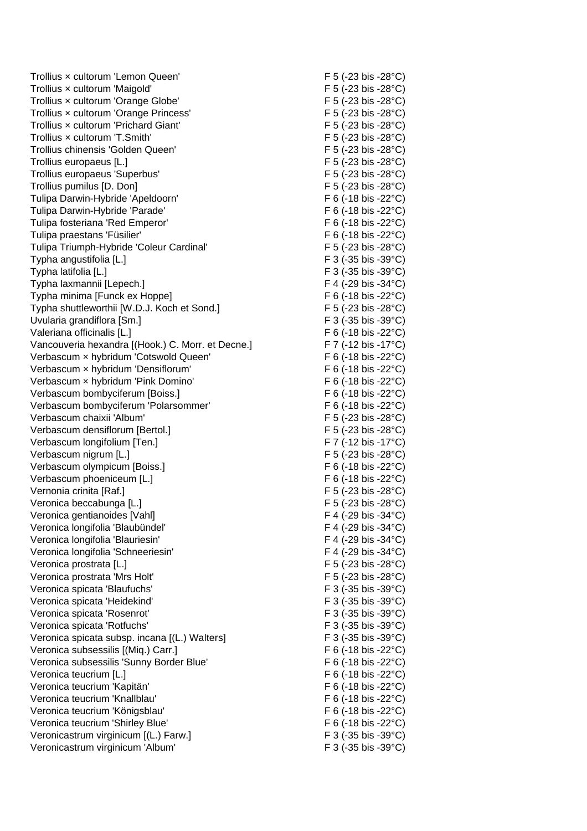Trollius × cultorum 'Lemon Queen' F 5 (-23 bis -28°C) Trollius × cultorum 'Maigold' F 5 (-23 bis -28°C) Trollius x cultorum 'Orange Globe' F 5 (-23 bis -28°C) Trollius x cultorum 'Orange Princess' F 5 (-23 bis -28°C) Trollius x cultorum 'Prichard Giant' F 5 (-23 bis -28°C) Trollius x cultorum 'T.Smith' F 5 (-23 bis -28°C) Trollius chinensis 'Golden Queen' F 5 (-23 bis -28°C) Trollius europaeus [L.] F 5 (-23 bis -28°C) Trollius europaeus 'Superbus' F 5 (-23 bis -28°C) Trollius pumilus [D. Don] F 5 (-23 bis -28°C) Tulipa Darwin-Hybride 'Apeldoorn' F 6 (-18 bis -22°C) Tulipa Darwin-Hybride 'Parade' F 6 (-18 bis -22°C) Tulipa fosteriana 'Red Emperor' Tulipa fosteriana 'Red Emperor' F 6 (-18 bis -22°C) Tulipa praestans 'Füsilier' F 6 (-18 bis -22°C) Tulipa Triumph-Hybride 'Coleur Cardinal' F 5 (-23 bis -28°C) Typha angustifolia [L.] Typha angustifolia [L.] Typha latifolia [L.] F 3 (-35 bis -39°C) Typha laxmannii [Lepech.] F 4 (-29 bis -34°C) Typha minima [Funck ex Hoppe] F 6 (-18 bis -22°C) Typha shuttleworthii [W.D.J. Koch et Sond.] F 5 (-23 bis -28°C) Uvularia grandiflora [Sm.] F 3 (-35 bis -39°C) Valeriana officinalis [L.] The Contract of the Contract of the Contract of the Contract of the Contract of the Contract of the Contract of the Contract of the Contract of the Contract of the Contract of the Contract of the Vancouveria hexandra [(Hook.) C. Morr. et Decne.] F 7 (-12 bis -17°C) Verbascum × hybridum 'Cotswold Queen' F 6 (-18 bis -22°C) Verbascum × hybridum 'Densiflorum' F 6 (-18 bis -22°C) Verbascum x hybridum 'Pink Domino' F 6 (-18 bis -22°C) Verbascum bombyciferum [Boiss.] F 6 (-18 bis -22°C) Verbascum bombyciferum 'Polarsommer' F 6 (-18 bis -22°C) Verbascum chaixii 'Album' F 5 (-23 bis -28°C) Verbascum densiflorum [Bertol.] F 5 (-23 bis -28°C) Verbascum longifolium [Ten.] F 7 (-12 bis -17°C) Verbascum nigrum [L.] F 5 (-23 bis -28°C) Verbascum olympicum [Boiss.] F 6 (-18 bis -22°C) Verbascum phoeniceum [L.] F 6 (-18 bis -22°C) Vernonia crinita [Raf.] F 5 (-23 bis -28°C) Veronica beccabunga [L.] The second of the second of the second of the Second Second Second Second Second Second Second Second Second Second Second Second Second Second Second Second Second Second Second Second Second Seco Veronica gentianoides [Vahl] F 4 (-29 bis -34°C) Veronica longifolia 'Blaubündel' F 4 (-29 bis -34°C) Veronica longifolia 'Blauriesin' F 4 (-29 bis -34°C) Veronica longifolia 'Schneeriesin' F 4 (-29 bis -34°C) Veronica prostrata [L.] F 5 (-23 bis -28°C) Veronica prostrata 'Mrs Holt'  $\overline{F}$  5 (-23 bis -28°C) Veronica spicata 'Blaufuchs' F 3 (-35 bis -39°C) Veronica spicata 'Heidekind' F 3 (-35 bis -39°C) Veronica spicata 'Rosenrot' F 3 (-35 bis -39°C) Veronica spicata 'Rotfuchs' F 3 (-35 bis -39°C) Veronica spicata subsp. incana [(L.) Walters] F 3 (-35 bis -39°C) Veronica subsessilis [(Miq.) Carr.] F 6 (-18 bis -22°C) Veronica subsessilis 'Sunny Border Blue' F 6 (-18 bis -22°C) Veronica teucrium [L.] F 6 (-18 bis -22°C) Veronica teucrium 'Kapitän' F 6 (-18 bis -22°C) Veronica teucrium 'Knallblau' F 6 (-18 bis -22°C) Veronica teucrium 'Königsblau' F 6 (-18 bis -22°C) Veronica teucrium 'Shirley Blue' F 6 (-18 bis -22°C) Veronicastrum virginicum [(L.) Farw.] F 3 (-35 bis -39°C) Veronicastrum virginicum 'Album' F 3 (-35 bis -39°C)